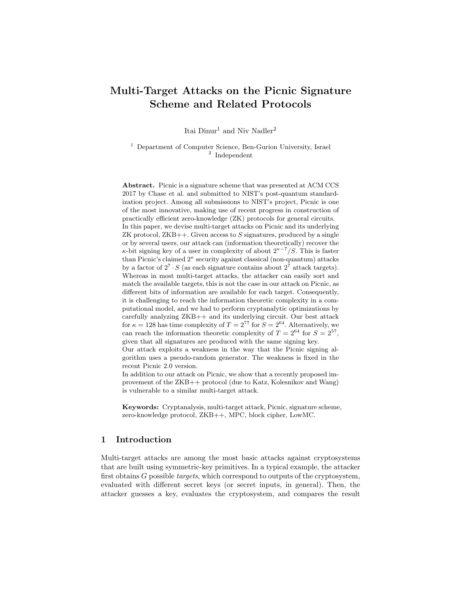# Multi-Target Attacks on the Picnic Signature Scheme and Related Protocols

Itai $\mathrm{Dinur}^1$  and Niv  $\mathrm{N} \mathrm{adler}^2$ 

<sup>1</sup> Department of Computer Science, Ben-Gurion University, Israel 2 Independent

Abstract. Picnic is a signature scheme that was presented at ACM CCS 2017 by Chase et al. and submitted to NIST's post-quantum standardization project. Among all submissions to NIST's project, Picnic is one of the most innovative, making use of recent progress in construction of practically efficient zero-knowledge (ZK) protocols for general circuits. In this paper, we devise multi-target attacks on Picnic and its underlying ZK protocol,  $ZKB++$ . Given access to S signatures, produced by a single or by several users, our attack can (information theoretically) recover the  $\kappa$ -bit signing key of a user in complexity of about  $2^{\kappa-7}/S$ . This is faster than Picnic's claimed  $2^{\kappa}$  security against classical (non-quantum) attacks by a factor of  $2^7 \cdot S$  (as each signature contains about  $2^7$  attack targets). Whereas in most multi-target attacks, the attacker can easily sort and match the available targets, this is not the case in our attack on Picnic, as different bits of information are available for each target. Consequently, it is challenging to reach the information theoretic complexity in a computational model, and we had to perform cryptanalytic optimizations by carefully analyzing ZKB++ and its underlying circuit. Our best attack for  $\kappa = 128$  has time complexity of  $T = 2^{77}$  for  $S = 2^{64}$ . Alternatively, we can reach the information theoretic complexity of  $T = 2^{64}$  for  $S = 2^{57}$ , given that all signatures are produced with the same signing key.

Our attack exploits a weakness in the way that the Picnic signing algorithm uses a pseudo-random generator. The weakness is fixed in the recent Picnic 2.0 version.

In addition to our attack on Picnic, we show that a recently proposed improvement of the ZKB++ protocol (due to Katz, Kolesnikov and Wang) is vulnerable to a similar multi-target attack.

Keywords: Cryptanalysis, multi-target attack, Picnic, signature scheme, zero-knowledge protocol, ZKB++, MPC, block cipher, LowMC.

## 1 Introduction

Multi-target attacks are among the most basic attacks against cryptosystems that are built using symmetric-key primitives. In a typical example, the attacker first obtains  $G$  possible *targets*, which correspond to outputs of the cryptosystem, evaluated with different secret keys (or secret inputs, in general). Then, the attacker guesses a key, evaluates the cryptosystem, and compares the result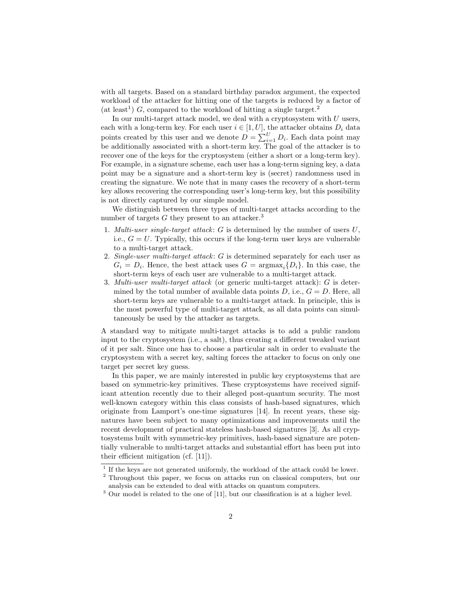with all targets. Based on a standard birthday paradox argument, the expected workload of the attacker for hitting one of the targets is reduced by a factor of (at least<sup>1</sup>) G, compared to the workload of hitting a single target.<sup>2</sup>

In our multi-target attack model, we deal with a cryptosystem with  $U$  users, each with a long-term key. For each user  $i \in [1, U]$ , the attacker obtains  $D_i$  data points created by this user and we denote  $D = \sum_{i=1}^{U} D_i$ . Each data point may be additionally associated with a short-term key. The goal of the attacker is to recover one of the keys for the cryptosystem (either a short or a long-term key). For example, in a signature scheme, each user has a long-term signing key, a data point may be a signature and a short-term key is (secret) randomness used in creating the signature. We note that in many cases the recovery of a short-term key allows recovering the corresponding user's long-term key, but this possibility is not directly captured by our simple model.

We distinguish between three types of multi-target attacks according to the number of targets  $G$  they present to an attacker.<sup>3</sup>

- 1. Multi-user single-target attack:  $G$  is determined by the number of users  $U$ , i.e.,  $G = U$ . Typically, this occurs if the long-term user keys are vulnerable to a multi-target attack.
- 2. Single-user multi-target attack:  $G$  is determined separately for each user as  $G_i = D_i$ . Hence, the best attack uses  $G = \text{argmax}_i \{D_i\}$ . In this case, the short-term keys of each user are vulnerable to a multi-target attack.
- 3. Multi-user multi-target attack (or generic multi-target attack):  $G$  is determined by the total number of available data points  $D$ , i.e.,  $G = D$ . Here, all short-term keys are vulnerable to a multi-target attack. In principle, this is the most powerful type of multi-target attack, as all data points can simultaneously be used by the attacker as targets.

A standard way to mitigate multi-target attacks is to add a public random input to the cryptosystem (i.e., a salt), thus creating a different tweaked variant of it per salt. Since one has to choose a particular salt in order to evaluate the cryptosystem with a secret key, salting forces the attacker to focus on only one target per secret key guess.

In this paper, we are mainly interested in public key cryptosystems that are based on symmetric-key primitives. These cryptosystems have received significant attention recently due to their alleged post-quantum security. The most well-known category within this class consists of hash-based signatures, which originate from Lamport's one-time signatures [14]. In recent years, these signatures have been subject to many optimizations and improvements until the recent development of practical stateless hash-based signatures [3]. As all cryptosystems built with symmetric-key primitives, hash-based signature are potentially vulnerable to multi-target attacks and substantial effort has been put into their efficient mitigation (cf. [11]).

<sup>&</sup>lt;sup>1</sup> If the keys are not generated uniformly, the workload of the attack could be lower.

<sup>2</sup> Throughout this paper, we focus on attacks run on classical computers, but our analysis can be extended to deal with attacks on quantum computers.

<sup>&</sup>lt;sup>3</sup> Our model is related to the one of [11], but our classification is at a higher level.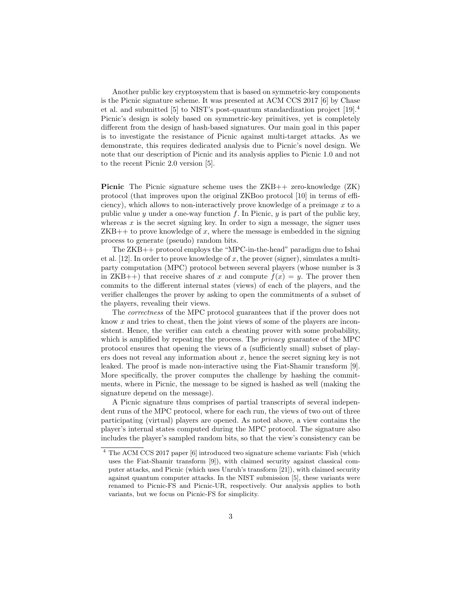Another public key cryptosystem that is based on symmetric-key components is the Picnic signature scheme. It was presented at ACM CCS 2017 [6] by Chase et al. and submitted [5] to NIST's post-quantum standardization project [19].<sup>4</sup> Picnic's design is solely based on symmetric-key primitives, yet is completely different from the design of hash-based signatures. Our main goal in this paper is to investigate the resistance of Picnic against multi-target attacks. As we demonstrate, this requires dedicated analysis due to Picnic's novel design. We note that our description of Picnic and its analysis applies to Picnic 1.0 and not to the recent Picnic 2.0 version [5].

Picnic The Picnic signature scheme uses the ZKB++ zero-knowledge (ZK) protocol (that improves upon the original ZKBoo protocol [10] in terms of efficiency), which allows to non-interactively prove knowledge of a preimage  $x$  to a public value  $y$  under a one-way function  $f$ . In Picnic,  $y$  is part of the public key, whereas  $x$  is the secret signing key. In order to sign a message, the signer uses  $ZKB++$  to prove knowledge of x, where the message is embedded in the signing process to generate (pseudo) random bits.

The ZKB++ protocol employs the "MPC-in-the-head" paradigm due to Ishai et al.  $[12]$ . In order to prove knowledge of x, the prover (signer), simulates a multiparty computation (MPC) protocol between several players (whose number is 3 in ZKB++) that receive shares of x and compute  $f(x) = y$ . The prover then commits to the different internal states (views) of each of the players, and the verifier challenges the prover by asking to open the commitments of a subset of the players, revealing their views.

The correctness of the MPC protocol guarantees that if the prover does not know  $x$  and tries to cheat, then the joint views of some of the players are inconsistent. Hence, the verifier can catch a cheating prover with some probability, which is amplified by repeating the process. The *privacy* guarantee of the MPC protocol ensures that opening the views of a (sufficiently small) subset of players does not reveal any information about  $x$ , hence the secret signing key is not leaked. The proof is made non-interactive using the Fiat-Shamir transform [9]. More specifically, the prover computes the challenge by hashing the commitments, where in Picnic, the message to be signed is hashed as well (making the signature depend on the message).

A Picnic signature thus comprises of partial transcripts of several independent runs of the MPC protocol, where for each run, the views of two out of three participating (virtual) players are opened. As noted above, a view contains the player's internal states computed during the MPC protocol. The signature also includes the player's sampled random bits, so that the view's consistency can be

<sup>4</sup> The ACM CCS 2017 paper [6] introduced two signature scheme variants: Fish (which uses the Fiat-Shamir transform [9]), with claimed security against classical computer attacks, and Picnic (which uses Unruh's transform [21]), with claimed security against quantum computer attacks. In the NIST submission [5], these variants were renamed to Picnic-FS and Picnic-UR, respectively. Our analysis applies to both variants, but we focus on Picnic-FS for simplicity.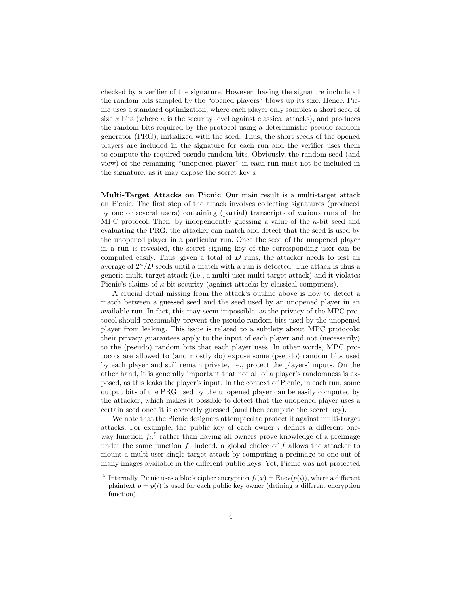checked by a verifier of the signature. However, having the signature include all the random bits sampled by the "opened players" blows up its size. Hence, Picnic uses a standard optimization, where each player only samples a short seed of size  $\kappa$  bits (where  $\kappa$  is the security level against classical attacks), and produces the random bits required by the protocol using a deterministic pseudo-random generator (PRG), initialized with the seed. Thus, the short seeds of the opened players are included in the signature for each run and the verifier uses them to compute the required pseudo-random bits. Obviously, the random seed (and view) of the remaining "unopened player" in each run must not be included in the signature, as it may expose the secret key  $x$ .

Multi-Target Attacks on Picnic Our main result is a multi-target attack on Picnic. The first step of the attack involves collecting signatures (produced by one or several users) containing (partial) transcripts of various runs of the MPC protocol. Then, by independently guessing a value of the  $\kappa$ -bit seed and evaluating the PRG, the attacker can match and detect that the seed is used by the unopened player in a particular run. Once the seed of the unopened player in a run is revealed, the secret signing key of the corresponding user can be computed easily. Thus, given a total of  $D$  runs, the attacker needs to test an average of  $2^{\kappa}/D$  seeds until a match with a run is detected. The attack is thus a generic multi-target attack (i.e., a multi-user multi-target attack) and it violates Picnic's claims of  $\kappa$ -bit security (against attacks by classical computers).

A crucial detail missing from the attack's outline above is how to detect a match between a guessed seed and the seed used by an unopened player in an available run. In fact, this may seem impossible, as the privacy of the MPC protocol should presumably prevent the pseudo-random bits used by the unopened player from leaking. This issue is related to a subtlety about MPC protocols: their privacy guarantees apply to the input of each player and not (necessarily) to the (pseudo) random bits that each player uses. In other words, MPC protocols are allowed to (and mostly do) expose some (pseudo) random bits used by each player and still remain private, i.e., protect the players' inputs. On the other hand, it is generally important that not all of a player's randomness is exposed, as this leaks the player's input. In the context of Picnic, in each run, some output bits of the PRG used by the unopened player can be easily computed by the attacker, which makes it possible to detect that the unopened player uses a certain seed once it is correctly guessed (and then compute the secret key).

We note that the Picnic designers attempted to protect it against multi-target attacks. For example, the public key of each owner  $i$  defines a different oneway function  $f_i$ <sup>5</sup> rather than having all owners prove knowledge of a preimage under the same function  $f$ . Indeed, a global choice of  $f$  allows the attacker to mount a multi-user single-target attack by computing a preimage to one out of many images available in the different public keys. Yet, Picnic was not protected

<sup>&</sup>lt;sup>5</sup> Internally, Picnic uses a block cipher encryption  $f_i(x) = \text{Enc}_x(p(i))$ , where a different plaintext  $p = p(i)$  is used for each public key owner (defining a different encryption function).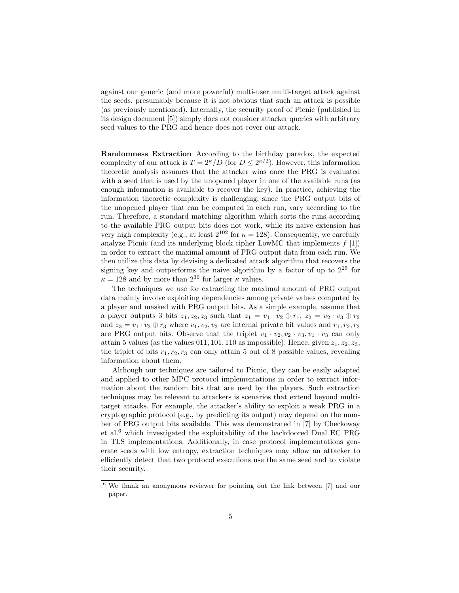against our generic (and more powerful) multi-user multi-target attack against the seeds, presumably because it is not obvious that such an attack is possible (as previously mentioned). Internally, the security proof of Picnic (published in its design document [5]) simply does not consider attacker queries with arbitrary seed values to the PRG and hence does not cover our attack.

Randomness Extraction According to the birthday paradox, the expected complexity of our attack is  $T = 2<sup>\kappa</sup>/D$  (for  $D \leq 2<sup>\kappa/2</sup>$ ). However, this information theoretic analysis assumes that the attacker wins once the PRG is evaluated with a seed that is used by the unopened player in one of the available runs (as enough information is available to recover the key). In practice, achieving the information theoretic complexity is challenging, since the PRG output bits of the unopened player that can be computed in each run, vary according to the run. Therefore, a standard matching algorithm which sorts the runs according to the available PRG output bits does not work, while its naive extension has very high complexity (e.g., at least  $2^{102}$  for  $\kappa = 128$ ). Consequently, we carefully analyze Picnic (and its underlying block cipher LowMC that implements  $f(1)$ ) in order to extract the maximal amount of PRG output data from each run. We then utilize this data by devising a dedicated attack algorithm that recovers the signing key and outperforms the naive algorithm by a factor of up to  $2^{25}$  for  $\kappa = 128$  and by more than  $2^{30}$  for larger  $\kappa$  values.

The techniques we use for extracting the maximal amount of PRG output data mainly involve exploiting dependencies among private values computed by a player and masked with PRG output bits. As a simple example, assume that a player outputs 3 bits  $z_1, z_2, z_3$  such that  $z_1 = v_1 \cdot v_2 \oplus r_1$ ,  $z_2 = v_2 \cdot v_3 \oplus r_2$ and  $z_3 = v_1 \cdot v_3 \oplus r_3$  where  $v_1, v_2, v_3$  are internal private bit values and  $r_1, r_2, r_3$ are PRG output bits. Observe that the triplet  $v_1 \cdot v_2, v_2 \cdot v_3, v_1 \cdot v_3$  can only attain 5 values (as the values 011, 101, 110 as impossible). Hence, given  $z_1, z_2, z_3$ , the triplet of bits  $r_1, r_2, r_3$  can only attain 5 out of 8 possible values, revealing information about them.

Although our techniques are tailored to Picnic, they can be easily adapted and applied to other MPC protocol implementations in order to extract information about the random bits that are used by the players. Such extraction techniques may be relevant to attackers is scenarios that extend beyond multitarget attacks. For example, the attacker's ability to exploit a weak PRG in a cryptographic protocol (e.g., by predicting its output) may depend on the number of PRG output bits available. This was demonstrated in [7] by Checkoway et al.<sup>6</sup> which investigated the exploitability of the backdoored Dual EC PRG in TLS implementations. Additionally, in case protocol implementations generate seeds with low entropy, extraction techniques may allow an attacker to efficiently detect that two protocol executions use the same seed and to violate their security.

<sup>6</sup> We thank an anonymous reviewer for pointing out the link between [7] and our paper.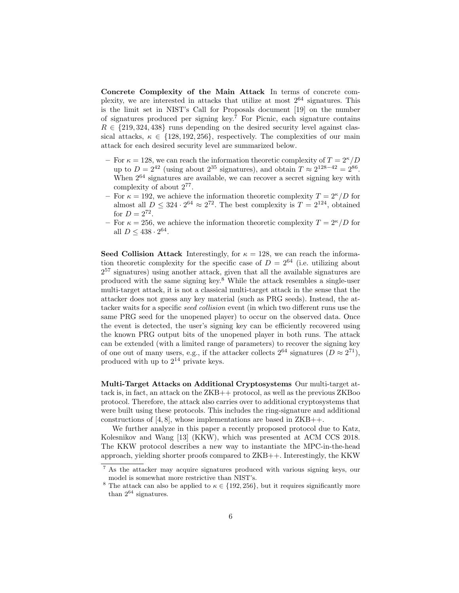Concrete Complexity of the Main Attack In terms of concrete complexity, we are interested in attacks that utilize at most  $2^{64}$  signatures. This is the limit set in NIST's Call for Proposals document [19] on the number of signatures produced per signing key.<sup>7</sup> For Picnic, each signature contains  $R \in \{219, 324, 438\}$  runs depending on the desired security level against classical attacks,  $\kappa \in \{128, 192, 256\}$ , respectively. The complexities of our main attack for each desired security level are summarized below.

- For  $\kappa = 128$ , we can reach the information theoretic complexity of  $T = 2<sup>\kappa</sup>/D$ up to  $D = 2^{42}$  (using about  $2^{35}$  signatures), and obtain  $T \approx 2^{128-42} = 2^{86}$ . When  $2^{64}$  signatures are available, we can recover a secret signing key with complexity of about  $2^{77}$ .
- For  $\kappa = 192$ , we achieve the information theoretic complexity  $T = 2^{\kappa}/D$  for almost all  $D \leq 324 \cdot 2^{64} \approx 2^{72}$ . The best complexity is  $T = 2^{124}$ , obtained for  $D = 2^{72}$ .
- For  $\kappa = 256$ , we achieve the information theoretic complexity  $T = 2^{\kappa}/D$  for all  $D \le 438 \cdot 2^{64}$ .

Seed Collision Attack Interestingly, for  $\kappa = 128$ , we can reach the information theoretic complexity for the specific case of  $D = 2^{64}$  (i.e. utilizing about 2<sup>57</sup> signatures) using another attack, given that all the available signatures are produced with the same signing key.<sup>8</sup> While the attack resembles a single-user multi-target attack, it is not a classical multi-target attack in the sense that the attacker does not guess any key material (such as PRG seeds). Instead, the attacker waits for a specific seed collision event (in which two different runs use the same PRG seed for the unopened player) to occur on the observed data. Once the event is detected, the user's signing key can be efficiently recovered using the known PRG output bits of the unopened player in both runs. The attack can be extended (with a limited range of parameters) to recover the signing key of one out of many users, e.g., if the attacker collects  $2^{64}$  signatures  $(D \approx 2^{71})$ , produced with up to  $2^{14}$  private keys.

Multi-Target Attacks on Additional Cryptosystems Our multi-target attack is, in fact, an attack on the ZKB++ protocol, as well as the previous ZKBoo protocol. Therefore, the attack also carries over to additional cryptosystems that were built using these protocols. This includes the ring-signature and additional constructions of  $[4, 8]$ , whose implementations are based in  $ZKB++$ .

We further analyze in this paper a recently proposed protocol due to Katz, Kolesnikov and Wang [13] (KKW), which was presented at ACM CCS 2018. The KKW protocol describes a new way to instantiate the MPC-in-the-head approach, yielding shorter proofs compared to ZKB++. Interestingly, the KKW

<sup>7</sup> As the attacker may acquire signatures produced with various signing keys, our model is somewhat more restrictive than NIST's.

<sup>&</sup>lt;sup>8</sup> The attack can also be applied to  $\kappa \in \{192, 256\}$ , but it requires significantly more than  $2^{64}$  signatures.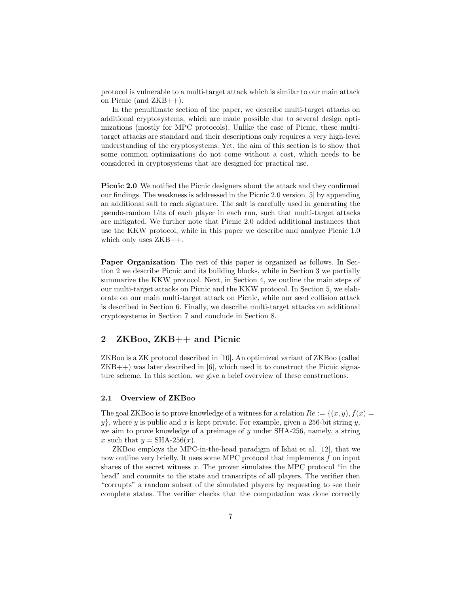protocol is vulnerable to a multi-target attack which is similar to our main attack on Picnic (and ZKB++).

In the penultimate section of the paper, we describe multi-target attacks on additional cryptosystems, which are made possible due to several design optimizations (mostly for MPC protocols). Unlike the case of Picnic, these multitarget attacks are standard and their descriptions only requires a very high-level understanding of the cryptosystems. Yet, the aim of this section is to show that some common optimizations do not come without a cost, which needs to be considered in cryptosystems that are designed for practical use.

Picnic 2.0 We notified the Picnic designers about the attack and they confirmed our findings. The weakness is addressed in the Picnic 2.0 version [5] by appending an additional salt to each signature. The salt is carefully used in generating the pseudo-random bits of each player in each run, such that multi-target attacks are mitigated. We further note that Picnic 2.0 added additional instances that use the KKW protocol, while in this paper we describe and analyze Picnic 1.0 which only uses ZKB++.

Paper Organization The rest of this paper is organized as follows. In Section 2 we describe Picnic and its building blocks, while in Section 3 we partially summarize the KKW protocol. Next, in Section 4, we outline the main steps of our multi-target attacks on Picnic and the KKW protocol. In Section 5, we elaborate on our main multi-target attack on Picnic, while our seed collision attack is described in Section 6. Finally, we describe multi-target attacks on additional cryptosystems in Section 7 and conclude in Section 8.

## 2 ZKBoo, ZKB++ and Picnic

ZKBoo is a ZK protocol described in [10]. An optimized variant of ZKBoo (called  $ZKB++$ ) was later described in [6], which used it to construct the Picnic signature scheme. In this section, we give a brief overview of these constructions.

#### 2.1 Overview of ZKBoo

The goal ZKBoo is to prove knowledge of a witness for a relation  $Re := \{(x, y), f(x) =$  $y$ , where y is public and x is kept private. For example, given a 256-bit string y, we aim to prove knowledge of a preimage of  $y$  under SHA-256, namely, a string x such that  $y = SHA-256(x)$ .

ZKBoo employs the MPC-in-the-head paradigm of Ishai et al. [12], that we now outline very briefly. It uses some MPC protocol that implements f on input shares of the secret witness x. The prover simulates the MPC protocol "in the head" and commits to the state and transcripts of all players. The verifier then "corrupts" a random subset of the simulated players by requesting to see their complete states. The verifier checks that the computation was done correctly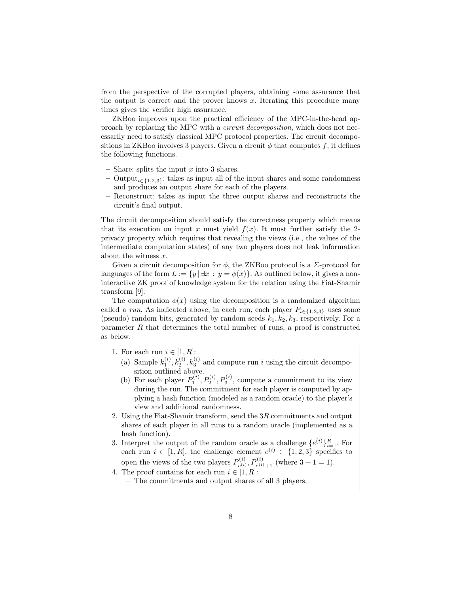from the perspective of the corrupted players, obtaining some assurance that the output is correct and the prover knows  $x$ . Iterating this procedure many times gives the verifier high assurance.

ZKBoo improves upon the practical efficiency of the MPC-in-the-head approach by replacing the MPC with a circuit decomposition, which does not necessarily need to satisfy classical MPC protocol properties. The circuit decompositions in ZKBoo involves 3 players. Given a circuit  $\phi$  that computes f, it defines the following functions.

- Share: splits the input  $x$  into 3 shares.
- $-$  Output<sub>*i*∈{1,2,3}</sub>: takes as input all of the input shares and some randomness and produces an output share for each of the players.
- Reconstruct: takes as input the three output shares and reconstructs the circuit's final output.

The circuit decomposition should satisfy the correctness property which means that its execution on input x must yield  $f(x)$ . It must further satisfy the 2privacy property which requires that revealing the views (i.e., the values of the intermediate computation states) of any two players does not leak information about the witness x.

Given a circuit decomposition for  $\phi$ , the ZKBoo protocol is a  $\Sigma$ -protocol for languages of the form  $L := \{y | \exists x : y = \phi(x)\}\.$  As outlined below, it gives a noninteractive ZK proof of knowledge system for the relation using the Fiat-Shamir transform [9].

The computation  $\phi(x)$  using the decomposition is a randomized algorithm called a run. As indicated above, in each run, each player  $P_{i\in\{1,2,3\}}$  uses some (pseudo) random bits, generated by random seeds  $k_1, k_2, k_3$ , respectively. For a parameter  $R$  that determines the total number of runs, a proof is constructed as below.

- 1. For each run  $i \in [1, R]$ :
	- (a) Sample  $k_1^{(i)}$ ,  $k_2^{(i)}$ ,  $k_3^{(i)}$  and compute run *i* using the circuit decomposition outlined above.
	- (b) For each player  $P_1^{(i)}, P_2^{(i)}, P_3^{(i)}$ , compute a commitment to its view during the run. The commitment for each player is computed by applying a hash function (modeled as a random oracle) to the player's view and additional randomness.
- 2. Using the Fiat-Shamir transform, send the  $3R$  commitments and output shares of each player in all runs to a random oracle (implemented as a hash function).
- 3. Interpret the output of the random oracle as a challenge  $\{e^{(i)}\}_{i=1}^R$ . For each run  $i \in [1, R]$ , the challenge element  $e^{(i)} \in \{1, 2, 3\}$  specifies to open the views of the two players  $P_{\text{e}(i)}^{(i)}$  $P_{e^{(i)}}^{(i)}, P_{e^{(i)}+1}^{(i)}$  (where  $3+1=1$ ).
- 4. The proof contains for each run  $i \in [1, R]$ :

– The commitments and output shares of all 3 players.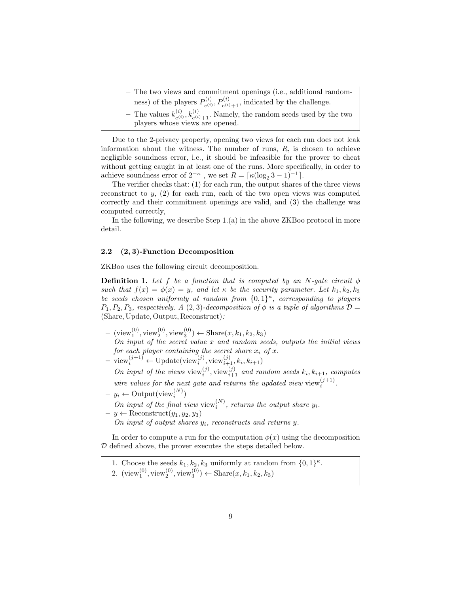- The two views and commitment openings (i.e., additional randomness) of the players  $P_{\rho(i)}^{(i)}$  $P_{e^{(i)}}^{(i)}, P_{e^{(i)}+1}^{(i)},$  indicated by the challenge.
- The values  $k_{\text{e}i}^{(i)}$  $\overset{(i)}{e^{(i)}}, k^{(i)}_{e^{(i)}+1}.$  Namely, the random seeds used by the two players whose views are opened.

Due to the 2-privacy property, opening two views for each run does not leak information about the witness. The number of runs,  $R$ , is chosen to achieve negligible soundness error, i.e., it should be infeasible for the prover to cheat without getting caught in at least one of the runs. More specifically, in order to achieve soundness error of  $2^{-\kappa}$ , we set  $R = \lceil \kappa (\log_2 3 - 1)^{-1} \rceil$ .

The verifier checks that: (1) for each run, the output shares of the three views reconstruct to  $y$ , (2) for each run, each of the two open views was computed correctly and their commitment openings are valid, and (3) the challenge was computed correctly,

In the following, we describe Step 1.(a) in the above ZKBoo protocol in more detail.

#### 2.2 (2, 3)-Function Decomposition

ZKBoo uses the following circuit decomposition.

**Definition 1.** Let f be a function that is computed by an N-gate circuit  $\phi$ such that  $f(x) = \phi(x) = y$ , and let  $\kappa$  be the security parameter. Let  $k_1, k_2, k_3$ be seeds chosen uniformly at random from  $\{0,1\}^{\kappa}$ , corresponding to players  $P_1, P_2, P_3$ , respectively. A (2,3)-decomposition of  $\phi$  is a tuple of algorithms  $\mathcal{D} =$ (Share, Update, Output, Reconstruct):

- $-$  (view<sup>{0}</sup>, view<sub>2</sub><sup>(0}</sup>, view<sub>3</sub><sup>(0}</sup>) ← Share(*x*, *k*<sub>1</sub>, *k*<sub>2</sub>, *k*<sub>3</sub>) On input of the secret value x and random seeds, outputs the initial views for each player containing the secret share  $x_i$  of x.
- $-$  view $_i^{(j+1)} \leftarrow \text{Update}(view_i^{(j)},view_{i+1}^{(j)}, k_i, k_{i+1})$

On input of the views  $view_i^{(j)}$ ,  $view_{i+1}^{(j)}$  and random seeds  $k_i, k_{i+1}$ , computes wire values for the next gate and returns the updated view view $i^{(j+1)}$ .

- $y_i \leftarrow \text{Output}(view_i^{(N)})$ On input of the final view view $_{i}^{(N)}$ , returns the output share  $y_i$ .
- $y \leftarrow$  Reconstruct $(y_1, y_2, y_3)$ On input of output shares  $y_i$ , reconstructs and returns y.

In order to compute a run for the computation  $\phi(x)$  using the decomposition D defined above, the prover executes the steps detailed below.

1. Choose the seeds  $k_1, k_2, k_3$  uniformly at random from  $\{0, 1\}^{\kappa}$ . 2.  $(\text{view}_1^{(0)}, \text{view}_2^{(0)}, \text{view}_3^{(0)}) \leftarrow \text{Share}(x, k_1, k_2, k_3)$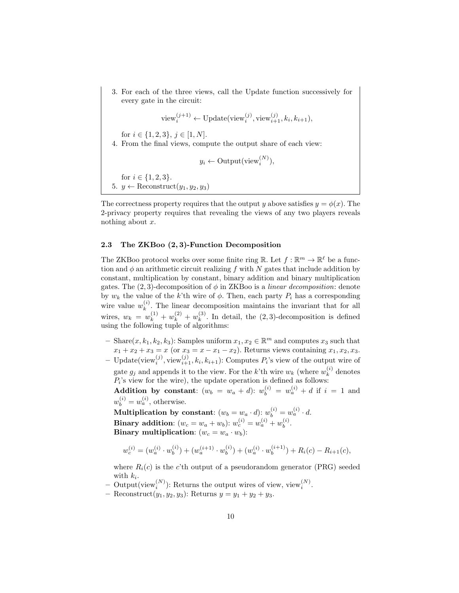3. For each of the three views, call the Update function successively for every gate in the circuit:

$$
view_i^{(j+1)} \leftarrow Update(view_i^{(j)},view_{i+1}^{(j)}, k_i, k_{i+1}),
$$

for  $i \in \{1, 2, 3\}, \, j \in [1, N].$ 

4. From the final views, compute the output share of each view:

$$
y_i \leftarrow \text{Output}(view_i^{(N)}),
$$

for  $i \in \{1, 2, 3\}.$ 5.  $y \leftarrow \text{Reconstruct}(y_1, y_2, y_3)$ 

The correctness property requires that the output y above satisfies  $y = \phi(x)$ . The 2-privacy property requires that revealing the views of any two players reveals nothing about  $x$ .

#### 2.3 The ZKBoo (2, 3)-Function Decomposition

The ZKBoo protocol works over some finite ring  $\mathbb{R}$ . Let  $f : \mathbb{R}^m \to \mathbb{R}^\ell$  be a function and  $\phi$  an arithmetic circuit realizing f with N gates that include addition by constant, multiplication by constant, binary addition and binary multiplication gates. The  $(2, 3)$ -decomposition of  $\phi$  in ZKBoo is a *linear decomposition*: denote by  $w_k$  the value of the k'th wire of  $\phi$ . Then, each party  $P_i$  has a corresponding wire value  $w_k^{(i)}$  $\kappa$ <sup>(i)</sup>. The linear decomposition maintains the invariant that for all wires,  $w_k = w_k^{(1)} + w_k^{(2)} + w_k^{(3)}$  $\binom{3}{k}$ . In detail, the  $(2, 3)$ -decomposition is defined using the following tuple of algorithms:

- Share $(x, k_1, k_2, k_3)$ : Samples uniform  $x_1, x_2 \in \mathbb{R}^m$  and computes  $x_3$  such that  $x_1 + x_2 + x_3 = x$  (or  $x_3 = x - x_1 - x_2$ ). Returns views containing  $x_1, x_2, x_3$ .
- Update(view $_i^{(j)}$ , view $_{i+1}^{(j)}$ ,  $k_i$ ,  $k_{i+1}$ ): Computes  $P_i$ 's view of the output wire of gate  $g_j$  and appends it to the view. For the k'th wire  $w_k$  (where  $w_k^{(i)}$ )  $k^{(i)}$  denotes  $P_i$ 's view for the wire), the update operation is defined as follows:

Addition by constant:  $(w_b = w_a + d)$ :  $w_b^{(i)} = w_a^{(i)} + d$  if  $i = 1$  and  $w_b^{(i)} = w_a^{(i)}$ , otherwise.

Multiplication by constant:  $(w_b = w_a \cdot d)$ :  $w_b^{(i)} = w_a^{(i)} \cdot d$ .  $\textbf{Binary addition: } (w_c = w_a + w_b): \, w_c^{(i)} = w_a^{(i)} + w_b^{(i)}$  $\stackrel{(i)}{b}$ . Binary multiplication:  $(w_c = w_a \cdot w_b)$ :

$$
w_c^{(i)} = (w_a^{(i)} \cdot w_b^{(i)}) + (w_a^{(i+1)} \cdot w_b^{(i)}) + (w_a^{(i)} \cdot w_b^{(i+1)}) + R_i(c) - R_{i+1}(c),
$$

where  $R_i(c)$  is the c'th output of a pseudorandom generator (PRG) seeded with  $k_i$ .

- Output(view<sub>i</sub><sup>(N)</sup>): Returns the output wires of view, view<sub>i</sub><sup>(N)</sup>.
- Reconstruct $(y_1, y_2, y_3)$ : Returns  $y = y_1 + y_2 + y_3$ .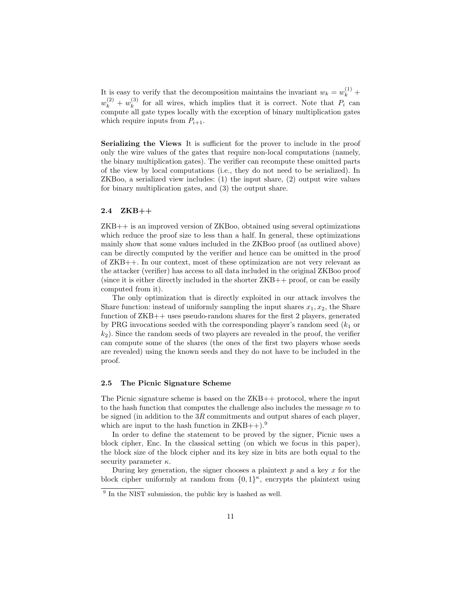It is easy to verify that the decomposition maintains the invariant  $w_k = w_k^{(1)} +$  $w_k^{(2)} + w_k^{(3)}$  $\binom{S}{k}$  for all wires, which implies that it is correct. Note that  $P_i$  can compute all gate types locally with the exception of binary multiplication gates which require inputs from  $P_{i+1}$ .

Serializing the Views It is sufficient for the prover to include in the proof only the wire values of the gates that require non-local computations (namely, the binary multiplication gates). The verifier can recompute these omitted parts of the view by local computations (i.e., they do not need to be serialized). In ZKBoo, a serialized view includes: (1) the input share, (2) output wire values for binary multiplication gates, and (3) the output share.

#### 2.4 ZKB++

ZKB++ is an improved version of ZKBoo, obtained using several optimizations which reduce the proof size to less than a half. In general, these optimizations mainly show that some values included in the ZKBoo proof (as outlined above) can be directly computed by the verifier and hence can be omitted in the proof of ZKB++. In our context, most of these optimization are not very relevant as the attacker (verifier) has access to all data included in the original ZKBoo proof (since it is either directly included in the shorter ZKB++ proof, or can be easily computed from it).

The only optimization that is directly exploited in our attack involves the Share function: instead of uniformly sampling the input shares  $x_1, x_2$ , the Share function of ZKB++ uses pseudo-random shares for the first 2 players, generated by PRG invocations seeded with the corresponding player's random seed  $(k_1 \text{ or } k_2)$  $k_2$ ). Since the random seeds of two players are revealed in the proof, the verifier can compute some of the shares (the ones of the first two players whose seeds are revealed) using the known seeds and they do not have to be included in the proof.

#### 2.5 The Picnic Signature Scheme

The Picnic signature scheme is based on the ZKB++ protocol, where the input to the hash function that computes the challenge also includes the message  $m$  to be signed (in addition to the  $3R$  commitments and output shares of each player, which are input to the hash function in  $ZKB++$ ).<sup>9</sup>

In order to define the statement to be proved by the signer, Picnic uses a block cipher, Enc. In the classical setting (on which we focus in this paper), the block size of the block cipher and its key size in bits are both equal to the security parameter  $\kappa$ .

During key generation, the signer chooses a plaintext  $p$  and a key  $x$  for the block cipher uniformly at random from  $\{0,1\}^{\kappa}$ , encrypts the plaintext using

<sup>&</sup>lt;sup>9</sup> In the NIST submission, the public key is hashed as well.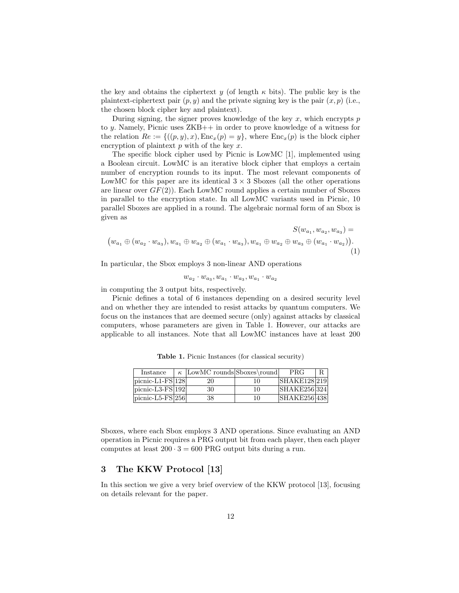the key and obtains the ciphertext y (of length  $\kappa$  bits). The public key is the plaintext-ciphertext pair  $(p, y)$  and the private signing key is the pair  $(x, p)$  (i.e., the chosen block cipher key and plaintext).

During signing, the signer proves knowledge of the key  $x$ , which encrypts  $p$ to y. Namely, Picnic uses  $ZKB++$  in order to prove knowledge of a witness for the relation  $Re := \{((p, y), x), Enc_x(p) = y\}$ , where  $Enc_x(p)$  is the block cipher encryption of plaintext  $p$  with of the key  $x$ .

The specific block cipher used by Picnic is LowMC [1], implemented using a Boolean circuit. LowMC is an iterative block cipher that employs a certain number of encryption rounds to its input. The most relevant components of LowMC for this paper are its identical  $3 \times 3$  Sboxes (all the other operations are linear over  $GF(2)$ ). Each LowMC round applies a certain number of Sboxes in parallel to the encryption state. In all LowMC variants used in Picnic, 10 parallel Sboxes are applied in a round. The algebraic normal form of an Sbox is given as

$$
S(w_{a_1}, w_{a_2}, w_{a_3}) =
$$

$$
(w_{a_1} \oplus (w_{a_2} \cdot w_{a_3}), w_{a_1} \oplus w_{a_2} \oplus (w_{a_1} \cdot w_{a_3}), w_{a_1} \oplus w_{a_2} \oplus w_{a_3} \oplus (w_{a_1} \cdot w_{a_2})).
$$

$$
(1)
$$

In particular, the Sbox employs 3 non-linear AND operations

 $w_{a_2} \cdot w_{a_3}, w_{a_1} \cdot w_{a_3}, w_{a_1} \cdot w_{a_2}$ 

in computing the 3 output bits, respectively.

Picnic defines a total of 6 instances depending on a desired security level and on whether they are intended to resist attacks by quantum computers. We focus on the instances that are deemed secure (only) against attacks by classical computers, whose parameters are given in Table 1. However, our attacks are applicable to all instances. Note that all LowMC instances have at least 200

| Instance                 | $\kappa$ LowMC rounds Sboxes\round |    | <b>PRG</b>                                           | R. |
|--------------------------|------------------------------------|----|------------------------------------------------------|----|
| $ $ picnic-L1-FS $ 128 $ | 20                                 |    | SHAKE128 219                                         |    |
| $ $ picnic-L3-FS $ 192 $ | 30                                 | 10 | $\left  \right.$ SHAKE256 $\left  324 \right\rangle$ |    |
| $ $ picnic-L5-FS $ 256 $ | 38                                 | 10 | SHAKE256 438                                         |    |

Table 1. Picnic Instances (for classical security)

Sboxes, where each Sbox employs 3 AND operations. Since evaluating an AND operation in Picnic requires a PRG output bit from each player, then each player computes at least  $200 \cdot 3 = 600$  PRG output bits during a run.

## 3 The KKW Protocol [13]

In this section we give a very brief overview of the KKW protocol [13], focusing on details relevant for the paper.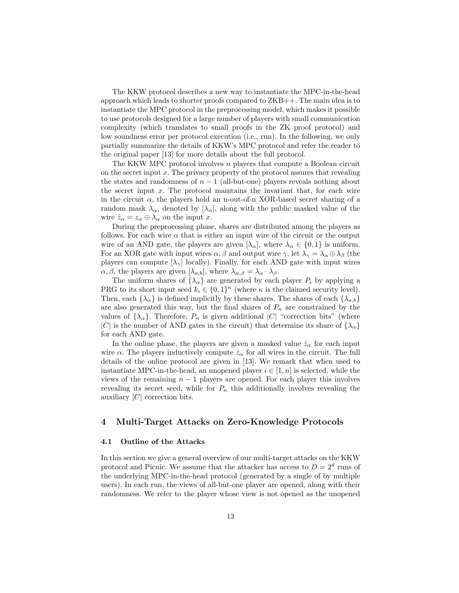The KKW protocol describes a new way to instantiate the MPC-in-the-head approach which leads to shorter proofs compared to ZKB++. The main idea is to instantiate the MPC protocol in the preprocessing model, which makes it possible to use protocols designed for a large number of players with small communication complexity (which translates to small proofs in the ZK proof protocol) and low soundness error per protocol execution (i.e., run). In the following, we only partially summarize the details of KKW's MPC protocol and refer the reader to the original paper [13] for more details about the full protocol.

The KKW MPC protocol involves  $n$  players that compute a Boolean circuit on the secret input  $x$ . The privacy property of the protocol assures that revealing the states and randomness of  $n - 1$  (all-but-one) players reveals nothing about the secret input  $x$ . The protocol maintains the invariant that, for each wire in the circuit  $\alpha$ , the players hold an n-out-of-n XOR-based secret sharing of a random mask  $\lambda_{\alpha}$ , denoted by  $[\lambda_{\alpha}]$ , along with the public masked value of the wire  $\hat{z}_{\alpha} = z_{\alpha} \oplus \lambda_{\alpha}$  on the input x.

During the preprocessing phase, shares are distributed among the players as follows. For each wire  $\alpha$  that is either an input wire of the circuit or the output wire of an AND gate, the players are given  $|\lambda_{\alpha}|$ , where  $\lambda_{\alpha} \in \{0,1\}$  is uniform. For an XOR gate with input wires  $\alpha, \beta$  and output wire  $\gamma$ , let  $\lambda_{\gamma} = \lambda_{\alpha} \oplus \lambda_{\beta}$  (the players can compute  $[\lambda_{\gamma}]$  locally). Finally, for each AND gate with input wires  $\alpha, \beta$ , the players are given  $[\lambda_{a,b}]$ , where  $\lambda_{\alpha,\beta} = \lambda_{\alpha} \cdot \lambda_{\beta}$ .

The uniform shares of  $\{\lambda_{\alpha}\}\$ are generated by each player  $P_i$  by applying a PRG to its short input seed  $k_i \in \{0,1\}^{\kappa}$  (where  $\kappa$  is the claimed security level). Then, each  $\{\lambda_{\alpha}\}\$ is defined implicitly by these shares. The shares of each  $\{\lambda_{a,b}\}\$ are also generated this way, but the final shares of  $P_n$  are constrained by the values of  $\{\lambda_{\alpha}\}.$  Therefore,  $P_n$  is given additional  $|C|$  "correction bits" (where |C| is the number of AND gates in the circuit) that determine its share of  $\{\lambda_{\alpha}\}\$ for each AND gate.

In the online phase, the players are given a masked value  $\hat{z}_{\alpha}$  for each input wire  $\alpha$ . The players inductively compute  $\hat{z}_{\alpha}$  for all wires in the circuit. The full details of the online protocol are given in [13]. We remark that when used to instantiate MPC-in-the-head, an unopened player  $i \in [1, n]$  is selected, while the views of the remaining  $n - 1$  players are opened. For each player this involves revealing its secret seed, while for  $P_n$  this additionally involves revealing the auxiliary  $|C|$  correction bits.

## 4 Multi-Target Attacks on Zero-Knowledge Protocols

#### 4.1 Outline of the Attacks

In this section we give a general overview of our multi-target attacks on the KKW protocol and Picnic. We assume that the attacker has access to  $D = 2<sup>d</sup>$  runs of the underlying MPC-in-the-head protocol (generated by a single of by multiple users). In each run, the views of all-but-one player are opened, along with their randomness. We refer to the player whose view is not opened as the unopened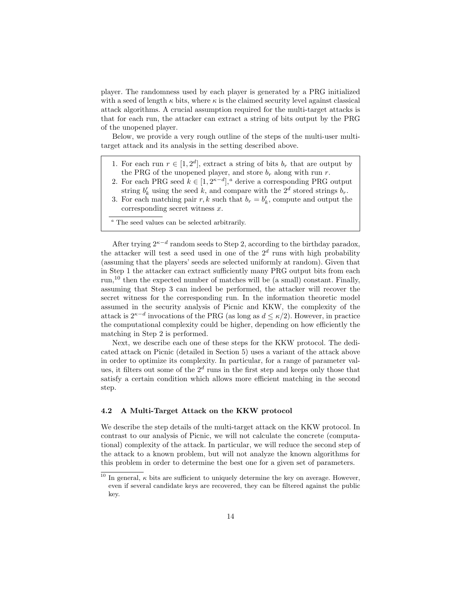player. The randomness used by each player is generated by a PRG initialized with a seed of length  $\kappa$  bits, where  $\kappa$  is the claimed security level against classical attack algorithms. A crucial assumption required for the multi-target attacks is that for each run, the attacker can extract a string of bits output by the PRG of the unopened player.

Below, we provide a very rough outline of the steps of the multi-user multitarget attack and its analysis in the setting described above.

- 1. For each run  $r \in [1, 2^d]$ , extract a string of bits  $b_r$  that are output by the PRG of the unopened player, and store  $b_r$  along with run  $r$ .
- 2. For each PRG seed  $k \in [1, 2^{\kappa-d}]$ ,<sup>a</sup> derive a corresponding PRG output string  $b'_k$  using the seed k, and compare with the  $2^d$  stored strings  $b_r$ .
- 3. For each matching pair  $r, k$  such that  $b_r = b'_k$ , compute and output the corresponding secret witness  $x$ .

<sup>a</sup> The seed values can be selected arbitrarily.

After trying  $2^{\kappa-d}$  random seeds to Step 2, according to the birthday paradox, the attacker will test a seed used in one of the  $2<sup>d</sup>$  runs with high probability (assuming that the players' seeds are selected uniformly at random). Given that in Step 1 the attacker can extract sufficiently many PRG output bits from each  $run<sub>10</sub>$ , then the expected number of matches will be (a small) constant. Finally, assuming that Step 3 can indeed be performed, the attacker will recover the secret witness for the corresponding run. In the information theoretic model assumed in the security analysis of Picnic and KKW, the complexity of the attack is  $2^{\kappa-d}$  invocations of the PRG (as long as  $d \leq \kappa/2$ ). However, in practice the computational complexity could be higher, depending on how efficiently the matching in Step 2 is performed.

Next, we describe each one of these steps for the KKW protocol. The dedicated attack on Picnic (detailed in Section 5) uses a variant of the attack above in order to optimize its complexity. In particular, for a range of parameter values, it filters out some of the  $2^d$  runs in the first step and keeps only those that satisfy a certain condition which allows more efficient matching in the second step.

#### 4.2 A Multi-Target Attack on the KKW protocol

We describe the step details of the multi-target attack on the KKW protocol. In contrast to our analysis of Picnic, we will not calculate the concrete (computational) complexity of the attack. In particular, we will reduce the second step of the attack to a known problem, but will not analyze the known algorithms for this problem in order to determine the best one for a given set of parameters.

<sup>&</sup>lt;sup>10</sup> In general,  $\kappa$  bits are sufficient to uniquely determine the key on average. However, even if several candidate keys are recovered, they can be filtered against the public key.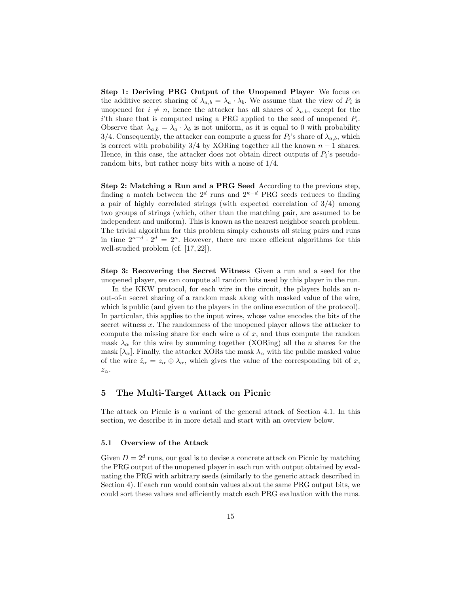Step 1: Deriving PRG Output of the Unopened Player We focus on the additive secret sharing of  $\lambda_{a,b} = \lambda_a \cdot \lambda_b$ . We assume that the view of  $P_i$  is unopened for  $i \neq n$ , hence the attacker has all shares of  $\lambda_{a,b}$ , except for the i'th share that is computed using a PRG applied to the seed of unopened  $P_i$ . Observe that  $\lambda_{a,b} = \lambda_a \cdot \lambda_b$  is not uniform, as it is equal to 0 with probability 3/4. Consequently, the attacker can compute a guess for  $P_i$ 's share of  $\lambda_{a,b}$ , which is correct with probability  $3/4$  by XORing together all the known  $n-1$  shares. Hence, in this case, the attacker does not obtain direct outputs of  $P_i$ 's pseudorandom bits, but rather noisy bits with a noise of 1/4.

Step 2: Matching a Run and a PRG Seed According to the previous step, finding a match between the  $2^d$  runs and  $2^{\kappa-d}$  PRG seeds reduces to finding a pair of highly correlated strings (with expected correlation of 3/4) among two groups of strings (which, other than the matching pair, are assumed to be independent and uniform). This is known as the nearest neighbor search problem. The trivial algorithm for this problem simply exhausts all string pairs and runs in time  $2^{\kappa-d} \cdot 2^d = 2^{\kappa}$ . However, there are more efficient algorithms for this well-studied problem (cf. [17, 22]).

Step 3: Recovering the Secret Witness Given a run and a seed for the unopened player, we can compute all random bits used by this player in the run.

In the KKW protocol, for each wire in the circuit, the players holds an nout-of-n secret sharing of a random mask along with masked value of the wire, which is public (and given to the players in the online execution of the protocol). In particular, this applies to the input wires, whose value encodes the bits of the secret witness  $x$ . The randomness of the unopened player allows the attacker to compute the missing share for each wire  $\alpha$  of x, and thus compute the random mask  $\lambda_{\alpha}$  for this wire by summing together (XORing) all the *n* shares for the mask  $[\lambda_{\alpha}]$ . Finally, the attacker XORs the mask  $\lambda_{\alpha}$  with the public masked value of the wire  $\hat{z}_{\alpha} = z_{\alpha} \oplus \lambda_{\alpha}$ , which gives the value of the corresponding bit of x,  $z_{\alpha}$ 

## 5 The Multi-Target Attack on Picnic

The attack on Picnic is a variant of the general attack of Section 4.1. In this section, we describe it in more detail and start with an overview below.

#### 5.1 Overview of the Attack

Given  $D = 2^d$  runs, our goal is to devise a concrete attack on Picnic by matching the PRG output of the unopened player in each run with output obtained by evaluating the PRG with arbitrary seeds (similarly to the generic attack described in Section 4). If each run would contain values about the same PRG output bits, we could sort these values and efficiently match each PRG evaluation with the runs.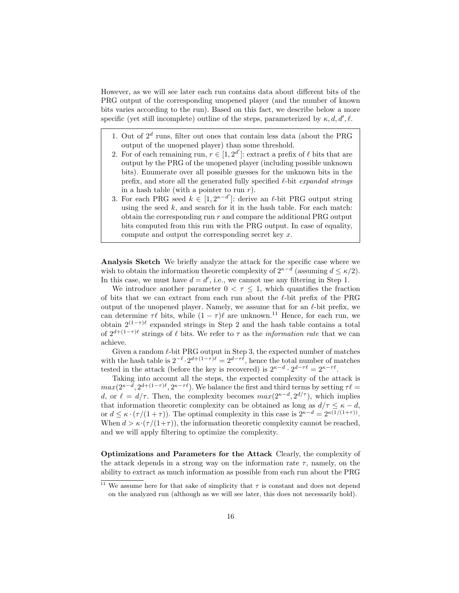However, as we will see later each run contains data about different bits of the PRG output of the corresponding unopened player (and the number of known bits varies according to the run). Based on this fact, we describe below a more specific (yet still incomplete) outline of the steps, parameterized by  $\kappa, d, d', \ell$ .

- 1. Out of  $2^d$  runs, filter out ones that contain less data (about the PRG output of the unopened player) than some threshold.
- 2. For of each remaining run,  $r \in [1, 2^{d'}]:$  extract a prefix of  $\ell$  bits that are output by the PRG of the unopened player (including possible unknown bits). Enumerate over all possible guesses for the unknown bits in the prefix, and store all the generated fully specified  $\ell$ -bit expanded strings in a hash table (with a pointer to run  $r$ ).
- 3. For each PRG seed  $k \in [1, 2^{\kappa-d'}]:$  derive an  $\ell$ -bit PRG output string using the seed  $k$ , and search for it in the hash table. For each match: obtain the corresponding run  $r$  and compare the additional PRG output bits computed from this run with the PRG output. In case of equality, compute and output the corresponding secret key x.

Analysis Sketch We briefly analyze the attack for the specific case where we wish to obtain the information theoretic complexity of  $2^{\kappa-d}$  (assuming  $d \leq \kappa/2$ ). In this case, we must have  $d = d'$ , i.e., we cannot use any filtering in Step 1.

We introduce another parameter  $0 < \tau \leq 1$ , which quantifies the fraction of bits that we can extract from each run about the  $\ell$ -bit prefix of the PRG output of the unopened player. Namely, we assume that for an  $\ell$ -bit prefix, we can determine  $\tau \ell$  bits, while  $(1 - \tau) \ell$  are unknown.<sup>11</sup> Hence, for each run, we obtain  $2^{(1-\tau)\ell}$  expanded strings in Step 2 and the hash table contains a total of  $2^{d+(1-\tau)\ell}$  strings of  $\ell$  bits. We refer to  $\tau$  as the *information rate* that we can achieve.

Given a random  $\ell$ -bit PRG output in Step 3, the expected number of matches with the hash table is  $2^{-\ell} \cdot 2^{d+(1-\tau)\ell} = 2^{d-\tau\ell}$ , hence the total number of matches tested in the attack (before the key is recovered) is  $2^{\kappa-d} \cdot 2^{d-\tau\ell} = 2^{\kappa-\tau\ell}$ .

Taking into account all the steps, the expected complexity of the attack is  $max(2^{\kappa-d}, 2^{d+(1-\tau)\ell}, 2^{\kappa-\tau\ell})$ . We balance the first and third terms by setting  $\tau\ell =$ d, or  $\ell = d/\tau$ . Then, the complexity becomes  $max(2^{\kappa-d}, 2^{d/\tau})$ , which implies that information theoretic complexity can be obtained as long as  $d/\tau \leq \kappa - d$ , or  $d \leq \kappa \cdot (\tau/(1+\tau))$ . The optimal complexity in this case is  $2^{\kappa-d} = 2^{\kappa(1/(1+\tau))}$ . When  $d > \kappa \cdot (\tau/(1+\tau))$ , the information theoretic complexity cannot be reached, and we will apply filtering to optimize the complexity.

Optimizations and Parameters for the Attack Clearly, the complexity of the attack depends in a strong way on the information rate  $\tau$ , namely, on the ability to extract as much information as possible from each run about the PRG

<sup>&</sup>lt;sup>11</sup> We assume here for that sake of simplicity that  $\tau$  is constant and does not depend on the analyzed run (although as we will see later, this does not necessarily hold).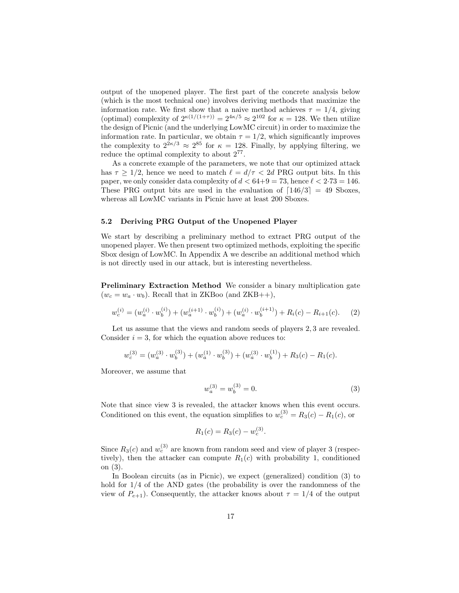output of the unopened player. The first part of the concrete analysis below (which is the most technical one) involves deriving methods that maximize the information rate. We first show that a naive method achieves  $\tau = 1/4$ , giving (optimal) complexity of  $2^{\kappa(1/(1+\tau))} = 2^{4\kappa/5} \approx 2^{102}$  for  $\kappa = 128$ . We then utilize the design of Picnic (and the underlying LowMC circuit) in order to maximize the information rate. In particular, we obtain  $\tau = 1/2$ , which significantly improves the complexity to  $2^{2\kappa/3} \approx 2^{85}$  for  $\kappa = 128$ . Finally, by applying filtering, we reduce the optimal complexity to about  $2^{77}$ .

As a concrete example of the parameters, we note that our optimized attack has  $\tau \geq 1/2$ , hence we need to match  $\ell = d/\tau < 2d$  PRG output bits. In this paper, we only consider data complexity of  $d < 64+9 = 73$ , hence  $\ell < 2.73 = 146$ . These PRG output bits are used in the evaluation of  $[146/3] = 49$  Sboxes, whereas all LowMC variants in Picnic have at least 200 Sboxes.

#### 5.2 Deriving PRG Output of the Unopened Player

We start by describing a preliminary method to extract PRG output of the unopened player. We then present two optimized methods, exploiting the specific Sbox design of LowMC. In Appendix A we describe an additional method which is not directly used in our attack, but is interesting nevertheless.

Preliminary Extraction Method We consider a binary multiplication gate  $(w_c = w_a \cdot w_b)$ . Recall that in ZKBoo (and ZKB++),

$$
w_c^{(i)} = (w_a^{(i)} \cdot w_b^{(i)}) + (w_a^{(i+1)} \cdot w_b^{(i)}) + (w_a^{(i)} \cdot w_b^{(i+1)}) + R_i(c) - R_{i+1}(c). \tag{2}
$$

Let us assume that the views and random seeds of players 2, 3 are revealed. Consider  $i = 3$ , for which the equation above reduces to:

$$
w_c^{(3)} = (w_a^{(3)} \cdot w_b^{(3)}) + (w_a^{(1)} \cdot w_b^{(3)}) + (w_a^{(3)} \cdot w_b^{(1)}) + R_3(c) - R_1(c).
$$

Moreover, we assume that

$$
w_a^{(3)} = w_b^{(3)} = 0.\t\t(3)
$$

Note that since view 3 is revealed, the attacker knows when this event occurs. Conditioned on this event, the equation simplifies to  $w_c^{(3)} = R_3(c) - R_1(c)$ , or

$$
R_1(c) = R_3(c) - w_c^{(3)}.
$$

Since  $R_3(c)$  and  $w_c^{(3)}$  are known from random seed and view of player 3 (respectively), then the attacker can compute  $R_1(c)$  with probability 1, conditioned on (3).

In Boolean circuits (as in Picnic), we expect (generalized) condition (3) to hold for  $1/4$  of the AND gates (the probability is over the randomness of the view of  $P_{e+1}$ ). Consequently, the attacker knows about  $\tau = 1/4$  of the output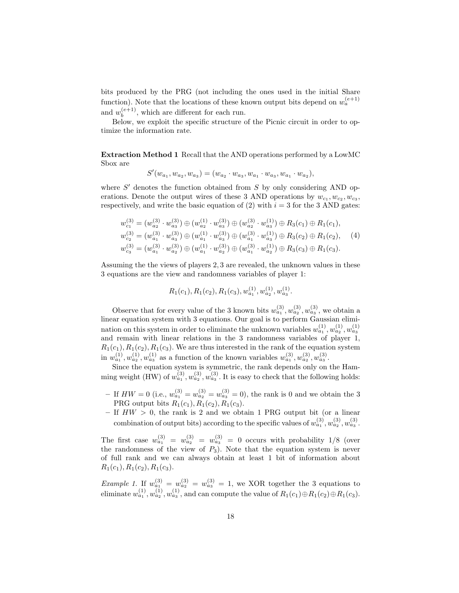bits produced by the PRG (not including the ones used in the initial Share function). Note that the locations of these known output bits depend on  $w_a^{(e+1)}$ and  $w_h^{(e+1)}$  $b^{(e+1)}$ , which are different for each run.

Below, we exploit the specific structure of the Picnic circuit in order to optimize the information rate.

Extraction Method 1 Recall that the AND operations performed by a LowMC Sbox are

$$
S'(w_{a_1}, w_{a_2}, w_{a_3}) = (w_{a_2} \cdot w_{a_3}, w_{a_1} \cdot w_{a_3}, w_{a_1} \cdot w_{a_2}),
$$

where  $S'$  denotes the function obtained from  $S$  by only considering AND operations. Denote the output wires of these 3 AND operations by  $w_{c_1}, w_{c_2}, w_{c_3}$ , respectively, and write the basic equation of (2) with  $i = 3$  for the 3 AND gates:

$$
w_{c_1}^{(3)} = (w_{a_2}^{(3)} \cdot w_{a_3}^{(3)}) \oplus (w_{a_2}^{(1)} \cdot w_{a_3}^{(3)}) \oplus (w_{a_2}^{(3)} \cdot w_{a_3}^{(1)}) \oplus R_3(c_1) \oplus R_1(c_1),
$$
  
\n
$$
w_{c_2}^{(3)} = (w_{a_1}^{(3)} \cdot w_{a_3}^{(3)}) \oplus (w_{a_1}^{(1)} \cdot w_{a_3}^{(3)}) \oplus (w_{a_1}^{(3)} \cdot w_{a_3}^{(1)}) \oplus R_3(c_2) \oplus R_1(c_2),
$$
  
\n
$$
w_{c_3}^{(3)} = (w_{a_1}^{(3)} \cdot w_{a_2}^{(3)}) \oplus (w_{a_1}^{(1)} \cdot w_{a_2}^{(3)}) \oplus (w_{a_1}^{(3)} \cdot w_{a_2}^{(1)}) \oplus R_3(c_3) \oplus R_1(c_3).
$$
  
\n(4)

Assuming the the views of players 2, 3 are revealed, the unknown values in these 3 equations are the view and randomness variables of player 1:

$$
R_1(c_1), R_1(c_2), R_1(c_3), w_{a_1}^{(1)}, w_{a_2}^{(1)}, w_{a_3}^{(1)}.
$$

Observe that for every value of the 3 known bits  $w_{a_1}^{(3)}$ ,  $w_{a_2}^{(3)}$ ,  $w_{a_3}^{(3)}$ , we obtain a linear equation system with 3 equations. Our goal is to perform Gaussian elimination on this system in order to eliminate the unknown variables  $w_{a_1}^{(1)}, w_{a_2}^{(1)}, w_{a_3}^{(1)}$ and remain with linear relations in the 3 randomness variables of player 1,  $R_1(c_1), R_1(c_2), R_1(c_3)$ . We are thus interested in the rank of the equation system in  $w_{a_1}^{(1)}, w_{a_2}^{(1)}, w_{a_3}^{(1)}$  as a function of the known variables  $w_{a_1}^{(3)}, w_{a_2}^{(3)}, w_{a_3}^{(3)}$ .

Since the equation system is symmetric, the rank depends only on the Hamming weight (HW) of  $w_{a_1}^{(3)}$ ,  $w_{a_2}^{(3)}$ ,  $w_{a_3}^{(3)}$ . It is easy to check that the following holds:

- If  $HW = 0$  (i.e.,  $w_{a_1}^{(3)} = w_{a_2}^{(3)} = w_{a_3}^{(3)} = 0$ ), the rank is 0 and we obtain the 3 PRG output bits  $R_1(c_1), R_1(c_2), R_1(c_3)$ .
- If  $HW > 0$ , the rank is 2 and we obtain 1 PRG output bit (or a linear combination of output bits) according to the specific values of  $w_{a_1}^{(3)}$ ,  $w_{a_2}^{(3)}$ ,  $w_{a_3}^{(3)}$ .

The first case  $w_{a_1}^{(3)} = w_{a_2}^{(3)} = w_{a_3}^{(3)} = 0$  occurs with probability 1/8 (over the randomness of the view of  $P_3$ ). Note that the equation system is never of full rank and we can always obtain at least 1 bit of information about  $R_1(c_1), R_1(c_2), R_1(c_3).$ 

*Example 1.* If  $w_{a_1}^{(3)} = w_{a_2}^{(3)} = w_{a_3}^{(3)} = 1$ , we XOR together the 3 equations to eliminate  $w_{a_1}^{(1)}, w_{a_2}^{(1)}, w_{a_3}^{(1)}$ , and can compute the value of  $R_1(c_1) \oplus R_1(c_2) \oplus R_1(c_3)$ .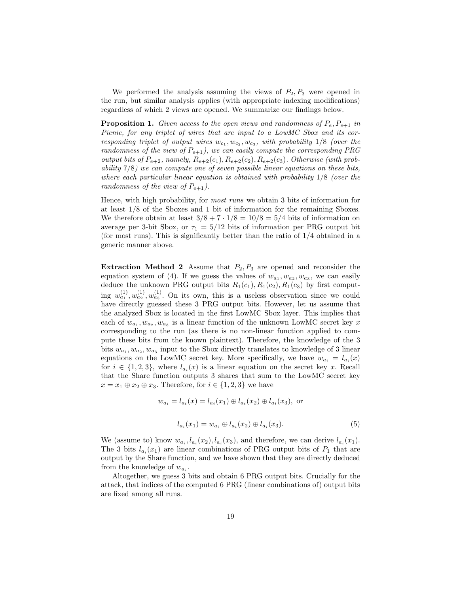We performed the analysis assuming the views of  $P_2, P_3$  were opened in the run, but similar analysis applies (with appropriate indexing modifications) regardless of which 2 views are opened. We summarize our findings below.

**Proposition 1.** Given access to the open views and randomness of  $P_e, P_{e+1}$  in Picnic, for any triplet of wires that are input to a LowMC Sbox and its corresponding triplet of output wires  $w_{c_1}, w_{c_2}, w_{c_3}$ , with probability  $1/8$  (over the randomness of the view of  $P_{e+1}$ , we can easily compute the corresponding PRG output bits of  $P_{e+2}$ , namely,  $R_{e+2}(c_1)$ ,  $R_{e+2}(c_2)$ ,  $R_{e+2}(c_3)$ . Otherwise (with probability 7/8) we can compute one of seven possible linear equations on these bits, where each particular linear equation is obtained with probability  $1/8$  (over the randomness of the view of  $P_{e+1}$ ).

Hence, with high probability, for most runs we obtain 3 bits of information for at least 1/8 of the Sboxes and 1 bit of information for the remaining Sboxes. We therefore obtain at least  $3/8 + 7 \cdot 1/8 = 10/8 = 5/4$  bits of information on average per 3-bit Sbox, or  $\tau_1 = 5/12$  bits of information per PRG output bit (for most runs). This is significantly better than the ratio of 1/4 obtained in a generic manner above.

**Extraction Method 2** Assume that  $P_2, P_3$  are opened and reconsider the equation system of (4). If we guess the values of  $w_{a_1}, w_{a_2}, w_{a_3}$ , we can easily deduce the unknown PRG output bits  $R_1(c_1), R_1(c_2), R_1(c_3)$  by first computing  $w_{a_1}^{(1)}, w_{a_2}^{(1)}, w_{a_3}^{(1)}$ . On its own, this is a useless observation since we could have directly guessed these 3 PRG output bits. However, let us assume that the analyzed Sbox is located in the first LowMC Sbox layer. This implies that each of  $w_{a_1}, w_{a_2}, w_{a_3}$  is a linear function of the unknown LowMC secret key x corresponding to the run (as there is no non-linear function applied to compute these bits from the known plaintext). Therefore, the knowledge of the 3 bits  $w_{a_1}, w_{a_2}, w_{a_3}$  input to the Sbox directly translates to knowledge of 3 linear equations on the LowMC secret key. More specifically, we have  $w_{a_i} = l_{a_i}(x)$ for  $i \in \{1,2,3\}$ , where  $l_{a_i}(x)$  is a linear equation on the secret key x. Recall that the Share function outputs 3 shares that sum to the LowMC secret key  $x = x_1 \oplus x_2 \oplus x_3$ . Therefore, for  $i \in \{1, 2, 3\}$  we have

$$
w_{a_i} = l_{a_i}(x) = l_{a_i}(x_1) \oplus l_{a_i}(x_2) \oplus l_{a_i}(x_3), \text{ or}
$$

$$
l_{a_i}(x_1) = w_{a_i} \oplus l_{a_i}(x_2) \oplus l_{a_i}(x_3).
$$
 (5)

We (assume to) know  $w_{a_i}, l_{a_i}(x_2), l_{a_i}(x_3)$ , and therefore, we can derive  $l_{a_i}(x_1)$ . The 3 bits  $l_{a_i}(x_1)$  are linear combinations of PRG output bits of  $P_1$  that are output by the Share function, and we have shown that they are directly deduced from the knowledge of  $w_{a_i}$ .

Altogether, we guess 3 bits and obtain 6 PRG output bits. Crucially for the attack, that indices of the computed 6 PRG (linear combinations of) output bits are fixed among all runs.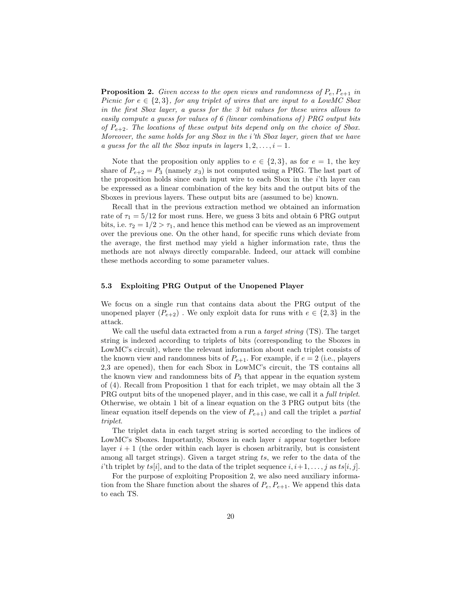**Proposition 2.** Given access to the open views and randomness of  $P_e, P_{e+1}$  in Picnic for  $e \in \{2,3\}$ , for any triplet of wires that are input to a LowMC Sbox in the first Sbox layer, a guess for the 3 bit values for these wires allows to easily compute a guess for values of  $6$  (linear combinations of) PRG output bits of  $P_{e+2}$ . The locations of these output bits depend only on the choice of Sbox. Moreover, the same holds for any Sbox in the i'th Sbox layer, given that we have a quess for the all the Sbox inputs in layers  $1, 2, \ldots, i - 1$ .

Note that the proposition only applies to  $e \in \{2,3\}$ , as for  $e = 1$ , the key share of  $P_{e+2} = P_3$  (namely  $x_3$ ) is not computed using a PRG. The last part of the proposition holds since each input wire to each Sbox in the  $i$ <sup>th</sup> layer can be expressed as a linear combination of the key bits and the output bits of the Sboxes in previous layers. These output bits are (assumed to be) known.

Recall that in the previous extraction method we obtained an information rate of  $\tau_1 = 5/12$  for most runs. Here, we guess 3 bits and obtain 6 PRG output bits, i.e.  $\tau_2 = 1/2 > \tau_1$ , and hence this method can be viewed as an improvement over the previous one. On the other hand, for specific runs which deviate from the average, the first method may yield a higher information rate, thus the methods are not always directly comparable. Indeed, our attack will combine these methods according to some parameter values.

#### 5.3 Exploiting PRG Output of the Unopened Player

We focus on a single run that contains data about the PRG output of the unopened player  $(P_{e+2})$ . We only exploit data for runs with  $e \in \{2,3\}$  in the attack.

We call the useful data extracted from a run a *target string* (TS). The target string is indexed according to triplets of bits (corresponding to the Sboxes in LowMC's circuit), where the relevant information about each triplet consists of the known view and randomness bits of  $P_{e+1}$ . For example, if  $e = 2$  (i.e., players 2,3 are opened), then for each Sbox in LowMC's circuit, the TS contains all the known view and randomness bits of  $P_3$  that appear in the equation system of (4). Recall from Proposition 1 that for each triplet, we may obtain all the 3 PRG output bits of the unopened player, and in this case, we call it a *full triplet*. Otherwise, we obtain 1 bit of a linear equation on the 3 PRG output bits (the linear equation itself depends on the view of  $P_{e+1}$ ) and call the triplet a *partial* triplet.

The triplet data in each target string is sorted according to the indices of LowMC's Sboxes. Importantly, Sboxes in each layer i appear together before layer  $i + 1$  (the order within each layer is chosen arbitrarily, but is consistent among all target strings). Given a target string ts, we refer to the data of the i'th triplet by  $ts[i]$ , and to the data of the triplet sequence  $i, i+1, \ldots, j$  as  $ts[i, j]$ .

For the purpose of exploiting Proposition 2, we also need auxiliary information from the Share function about the shares of  $P_e, P_{e+1}$ . We append this data to each TS.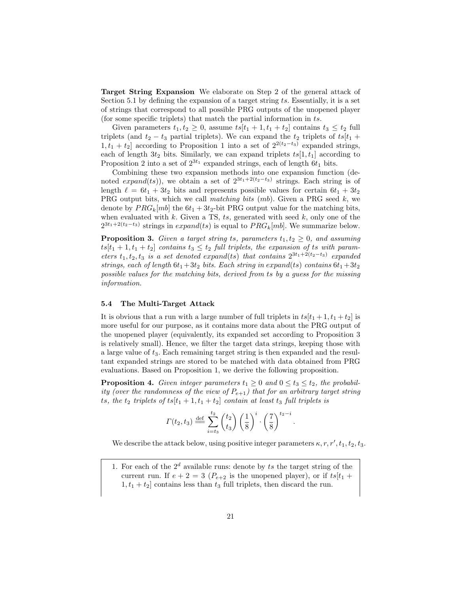Target String Expansion We elaborate on Step 2 of the general attack of Section 5.1 by defining the expansion of a target string ts. Essentially, it is a set of strings that correspond to all possible PRG outputs of the unopened player (for some specific triplets) that match the partial information in ts.

Given parameters  $t_1, t_2 \geq 0$ , assume  $ts[t_1 + 1, t_1 + t_2]$  contains  $t_3 \leq t_2$  full triplets (and  $t_2 - t_3$  partial triplets). We can expand the  $t_2$  triplets of  $ts[t_1 +$  $1, t_1 + t_2$  according to Proposition 1 into a set of  $2^{2(t_2-t_3)}$  expanded strings, each of length  $3t_2$  bits. Similarly, we can expand triplets  $ts[1, t_1]$  according to Proposition 2 into a set of  $2^{3t_1}$  expanded strings, each of length  $6t_1$  bits.

Combining these two expansion methods into one expansion function (denoted  $expand(ts)$ , we obtain a set of  $2^{3t_1+2(t_2-t_3)}$  strings. Each string is of length  $\ell = 6t_1 + 3t_2$  bits and represents possible values for certain  $6t_1 + 3t_2$ PRG output bits, which we call matching bits  $(mb)$ . Given a PRG seed k, we denote by  $PRG_k[mb]$  the  $6t_1 + 3t_2$ -bit PRG output value for the matching bits, when evaluated with  $k$ . Given a TS, ts, generated with seed  $k$ , only one of the  $2^{3t_1+2(t_2-t_3)}$  strings in  $expand(ts)$  is equal to  $PRG_k[mb]$ . We summarize below.

**Proposition 3.** Given a target string ts, parameters  $t_1, t_2 \geq 0$ , and assuming  $ts[t_1 + 1, t_1 + t_2]$  contains  $t_3 \le t_2$  full triplets, the expansion of ts with parameters  $t_1, t_2, t_3$  is a set denoted expand(ts) that contains  $2^{3t_1+2(t_2-t_3)}$  expanded strings, each of length  $6t_1+3t_2$  bits. Each string in expand(ts) contains  $6t_1+3t_2$ possible values for the matching bits, derived from ts by a guess for the missing information.

#### 5.4 The Multi-Target Attack

It is obvious that a run with a large number of full triplets in  $ts[t_1 + 1, t_1 + t_2]$  is more useful for our purpose, as it contains more data about the PRG output of the unopened player (equivalently, its expanded set according to Proposition 3 is relatively small). Hence, we filter the target data strings, keeping those with a large value of  $t_3$ . Each remaining target string is then expanded and the resultant expanded strings are stored to be matched with data obtained from PRG evaluations. Based on Proposition 1, we derive the following proposition.

**Proposition 4.** Given integer parameters  $t_1 \geq 0$  and  $0 \leq t_3 \leq t_2$ , the probability (over the randomness of the view of  $P_{e+1}$ ) that for an arbitrary target string ts, the  $t_2$  triplets of  $ts[t_1 + 1, t_1 + t_2]$  contain at least  $t_3$  full triplets is

$$
\Gamma(t_2, t_3) \stackrel{\text{def}}{=\!\!=} \sum_{i=t_3}^{t_2} \binom{t_2}{t_3} \left(\frac{1}{8}\right)^i \cdot \left(\frac{7}{8}\right)^{t_2-i}.
$$

We describe the attack below, using positive integer parameters  $\kappa$ ,  $r$ ,  $r'$ ,  $t_1$ ,  $t_2$ ,  $t_3$ .

1. For each of the  $2^d$  available runs: denote by ts the target string of the current run. If  $e + 2 = 3$  ( $P_{e+2}$  is the unopened player), or if  $ts[t_1 +$  $1, t_1 + t_2$  contains less than  $t_3$  full triplets, then discard the run.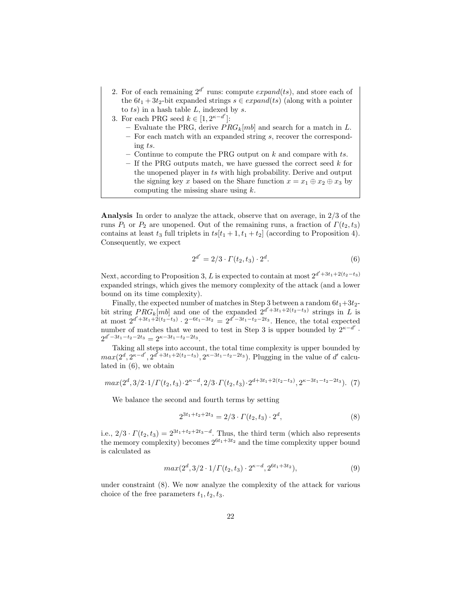- 2. For of each remaining  $2^{d'}$  runs: compute  $expand(ts)$ , and store each of the  $6t_1 + 3t_2$ -bit expanded strings  $s \in expand(ts)$  (along with a pointer to  $ts$ ) in a hash table  $L$ , indexed by  $s$ .
- 3. For each PRG seed  $k \in [1, 2^{\kappa-d'}]:$ 
	- Evaluate the PRG, derive  $PRG_k[mb]$  and search for a match in L.
	- For each match with an expanded string s, recover the corresponding ts.
	- Continue to compute the PRG output on  $k$  and compare with ts.
	- If the PRG outputs match, we have guessed the correct seed  $k$  for the unopened player in ts with high probability. Derive and output the signing key x based on the Share function  $x = x_1 \oplus x_2 \oplus x_3$  by computing the missing share using  $k$ .

Analysis In order to analyze the attack, observe that on average, in 2/3 of the runs  $P_1$  or  $P_2$  are unopened. Out of the remaining runs, a fraction of  $\Gamma(t_2, t_3)$ contains at least  $t_3$  full triplets in  $ts[t_1 + 1, t_1 + t_2]$  (according to Proposition 4). Consequently, we expect

$$
2^{d'} = 2/3 \cdot \Gamma(t_2, t_3) \cdot 2^d. \tag{6}
$$

Next, according to Proposition 3, L is expected to contain at most  $2^{d'+3t_1+2(t_2-t_3)}$ expanded strings, which gives the memory complexity of the attack (and a lower bound on its time complexity).

Finally, the expected number of matches in Step 3 between a random  $6t_1+3t_2$ bit string  $PRG_k[mb]$  and one of the expanded  $2^{d'+3t_1+2(t_2-t_3)}$  strings in L is at most  $2^{d'+3t_1+2(t_2-t_3)} \cdot 2^{-6t_1-3t_2} = 2^{d'-3t_1-t_2-2t_3}$ . Hence, the total expected number of matches that we need to test in Step 3 is upper bounded by  $2^{\kappa-d'}$ .  $2^{d'-3t_1-t_2-2t_3} = 2^{\kappa-3t_1-t_2-2t_3}.$ 

Taking all steps into account, the total time complexity is upper bounded by  $max(2^d, 2^{\kappa-d'}, 2^{d'}+3t_1+2(t_2-t_3), 2^{\kappa-3t_1-t_2-2t_3})$ . Plugging in the value of d' calculated in (6), we obtain

$$
max(2^d, 3/2 \cdot 1/\Gamma(t_2, t_3) \cdot 2^{\kappa - d}, 2/3 \cdot \Gamma(t_2, t_3) \cdot 2^{d+3t_1+2(t_2-t_3)}, 2^{\kappa - 3t_1-t_2-2t_3}).
$$
 (7)

We balance the second and fourth terms by setting

$$
2^{3t_1+t_2+2t_3} = 2/3 \cdot \Gamma(t_2, t_3) \cdot 2^d, \tag{8}
$$

i.e.,  $2/3 \cdot \Gamma(t_2, t_3) = 2^{3t_1+t_2+2t_3-d}$ . Thus, the third term (which also represents the memory complexity) becomes  $2^{6t_1+3t_2}$  and the time complexity upper bound is calculated as

$$
max(2^d, 3/2 \cdot 1/\Gamma(t_2, t_3) \cdot 2^{\kappa - d}, 2^{6t_1 + 3t_2}), \tag{9}
$$

under constraint (8). We now analyze the complexity of the attack for various choice of the free parameters  $t_1, t_2, t_3$ .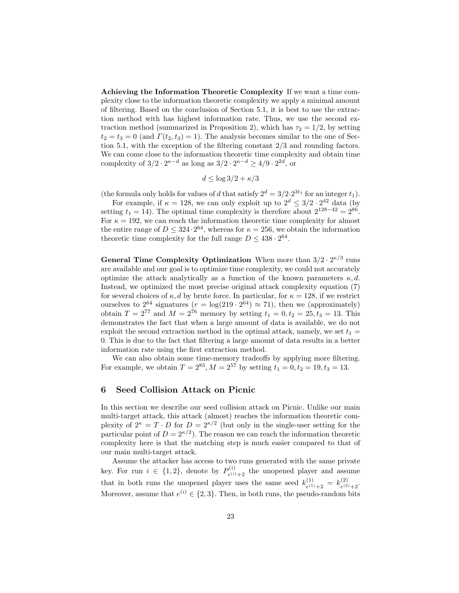Achieving the Information Theoretic Complexity If we want a time complexity close to the information theoretic complexity we apply a minimal amount of filtering. Based on the conclusion of Section 5.1, it is best to use the extraction method with has highest information rate. Thus, we use the second extraction method (summarized in Proposition 2), which has  $\tau_2 = 1/2$ , by setting  $t_2 = t_3 = 0$  (and  $\Gamma(t_2, t_3) = 1$ ). The analysis becomes similar to the one of Section 5.1, with the exception of the filtering constant 2/3 and rounding factors. We can come close to the information theoretic time complexity and obtain time complexity of  $3/2 \cdot 2^{\kappa-d}$  as long as  $3/2 \cdot 2^{\kappa-d} \ge 4/9 \cdot 2^{2d}$ , or

$$
d \le \log 3/2 + \kappa/3
$$

(the formula only holds for values of d that satisfy  $2^d = 3/2 \cdot 2^{3t_1}$  for an integer  $t_1$ ).

For example, if  $\kappa = 128$ , we can only exploit up to  $2^d \leq 3/2 \cdot 2^{42}$  data (by setting  $t_1 = 14$ ). The optimal time complexity is therefore about  $2^{128-42} = 2^{86}$ . For  $\kappa = 192$ , we can reach the information theoretic time complexity for almost the entire range of  $D \leq 324 \cdot 2^{64}$ , whereas for  $\kappa = 256$ , we obtain the information theoretic time complexity for the full range  $D \leq 438 \cdot 2^{64}$ .

General Time Complexity Optimization When more than  $3/2 \cdot 2^{\kappa/3}$  runs are available and our goal is to optimize time complexity, we could not accurately optimize the attack analytically as a function of the known parameters  $\kappa, d$ . Instead, we optimized the most precise original attack complexity equation (7) for several choices of  $\kappa$ , d by brute force. In particular, for  $\kappa = 128$ , if we restrict ourselves to  $2^{64}$  signatures  $(r = \log(219 \cdot 2^{64}) \approx 71)$ , then we (approximately) obtain  $T = 2^{77}$  and  $M = 2^{76}$  memory by setting  $t_1 = 0, t_2 = 25, t_3 = 13$ . This demonstrates the fact that when a large amount of data is available, we do not exploit the second extraction method in the optimal attack, namely, we set  $t_1 =$ 0. This is due to the fact that filtering a large amount of data results in a better information rate using the first extraction method.

We can also obtain some time-memory tradeoffs by applying more filtering. For example, we obtain  $T = 2^{83}$ ,  $M = 2^{57}$  by setting  $t_1 = 0$ ,  $t_2 = 19$ ,  $t_3 = 13$ .

## 6 Seed Collision Attack on Picnic

In this section we describe our seed collision attack on Picnic. Unlike our main multi-target attack, this attack (almost) reaches the information theoretic complexity of  $2^{\kappa} = T \cdot D$  for  $D = 2^{\kappa/2}$  (but only in the single-user setting for the particular point of  $D = 2^{\kappa/2}$ . The reason we can reach the information theoretic complexity here is that the matching step is much easier compared to that of our main multi-target attack.

Assume the attacker has access to two runs generated with the same private key. For run  $i \in \{1,2\}$ , denote by  $P_{\sigma(i)}^{(i)}$  $e^{i\theta}$ <sub>e</sub> $e^{i\theta}$ <sub>2</sub> the unopened player and assume that in both runs the unopened player uses the same seed  $k_{c1}^{(1)}$  $e^{(1)}_{e^{(1)}+2} = k_{e^{(2)}}^{(2)}$  $e^{(2)}+2$ . Moreover, assume that  $e^{(i)} \in \{2,3\}$ . Then, in both runs, the pseudo-random bits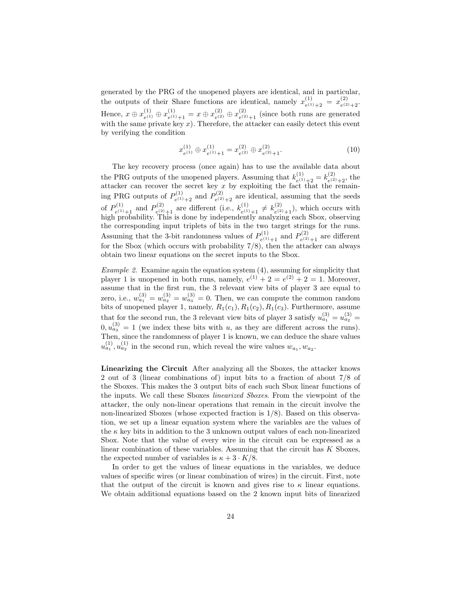generated by the PRG of the unopened players are identical, and in particular, the outputs of their Share functions are identical, namely  $x_{c1}^{(1)}$  $e^{(1)}_{e^{(1)}+2} = x_{e^{(2)}}^{(2)}$  $e^{(2)}+2$ . Hence,  $x \oplus x_{\scriptscriptstyle \circ(1)}^{(1)}$  $e^{(1)}_{e^{(1)}} \oplus x^{(1)}_{e^{(1)}}$  $e^{(1)}_{e^{(1)}+1} = x \oplus x^{(2)}_{e^{(2)}}$  $e^{(2)}_{e^{(2)}} \oplus x^{(2)}_{e^{(2)}}$  $e^{(2)}_{e^{(2)}+1}$  (since both runs are generated with the same private key  $x$ ). Therefore, the attacker can easily detect this event by verifying the condition

$$
x_{e^{(1)}}^{(1)} \oplus x_{e^{(1)}+1}^{(1)} = x_{e^{(2)}}^{(2)} \oplus x_{e^{(2)}+1}^{(2)}.
$$
 (10)

The key recovery process (once again) has to use the available data about the PRG outputs of the unopened players. Assuming that  $k_{\text{eff}}^{(1)}$  $e^{(1)}_{e^{(1)}+2} = k_{e^{(2)}}^{(2)}$  $e^{(2)}+2$ , the attacker can recover the secret key  $x$  by exploiting the fact that the remaining PRG outputs of  $P_{c(1)}^{(1)}$  $P_{e^{(1)}+2}^{(1)}$  and  $P_{e^{(2)}}^{(2)}$  $e^{(2)}_{e^{(2)}+2}$  are identical, assuming that the seeds of  $P_{e^{(1)}}^{(1)}$  $P_{e^{(1)}+1}^{(1)}$  and  $P_{e^{(2)}}^{(2)}$  $e^{(2)}_{e^{(2)}+1}$  are different (i.e.,  $k_{e^{(1)}}^{(1)}$  $e^{(1)}_{e^{(1)}+1} \neq k_{e^{(2)}}^{(2)}$  $e^{(2)}_{e^{(2)}+1}$ , which occurs with high probability. This is done by independently analyzing each Sbox, observing the corresponding input triplets of bits in the two target strings for the runs. Assuming that the 3-bit randomness values of  $P_{\text{d1}}^{(1)}$  $P_{e^{(1)}+1}^{(1)}$  and  $P_{e^{(2)}}^{(2)}$  $e^{(2)}$ <sub>e</sub> $^{(2)}$  are different for the Sbox (which occurs with probability 7/8), then the attacker can always obtain two linear equations on the secret inputs to the Sbox.

Example 2. Examine again the equation system (4), assuming for simplicity that player 1 is unopened in both runs, namely,  $e^{(1)} + 2 = e^{(2)} + 2 = 1$ . Moreover, assume that in the first run, the 3 relevant view bits of player 3 are equal to zero, i.e.,  $w_{a_1}^{(3)} = w_{a_2}^{(3)} = w_{a_3}^{(3)} = 0$ . Then, we can compute the common random bits of unopened player 1, namely,  $R_1(c_1), R_1(c_2), R_1(c_3)$ . Furthermore, assume that for the second run, the 3 relevant view bits of player 3 satisfy  $u_{a_1}^{(3)} = u_{a_2}^{(3)} =$  $0, u_{a_3}^{(3)} = 1$  (we index these bits with u, as they are different across the runs). Then, since the randomness of player 1 is known, we can deduce the share values  $u_{a_1}^{(1)}, u_{a_2}^{(1)}$  in the second run, which reveal the wire values  $w_{a_1}, w_{a_2}$ .

Linearizing the Circuit After analyzing all the Sboxes, the attacker knows 2 out of 3 (linear combinations of) input bits to a fraction of about 7/8 of the Sboxes. This makes the 3 output bits of each such Sbox linear functions of the inputs. We call these Sboxes linearized Sboxes. From the viewpoint of the attacker, the only non-linear operations that remain in the circuit involve the non-linearized Sboxes (whose expected fraction is 1/8). Based on this observation, we set up a linear equation system where the variables are the values of the  $\kappa$  key bits in addition to the 3 unknown output values of each non-linearized Sbox. Note that the value of every wire in the circuit can be expressed as a linear combination of these variables. Assuming that the circuit has  $K$  Sboxes, the expected number of variables is  $\kappa + 3 \cdot K/8$ .

In order to get the values of linear equations in the variables, we deduce values of specific wires (or linear combination of wires) in the circuit. First, note that the output of the circuit is known and gives rise to  $\kappa$  linear equations. We obtain additional equations based on the 2 known input bits of linearized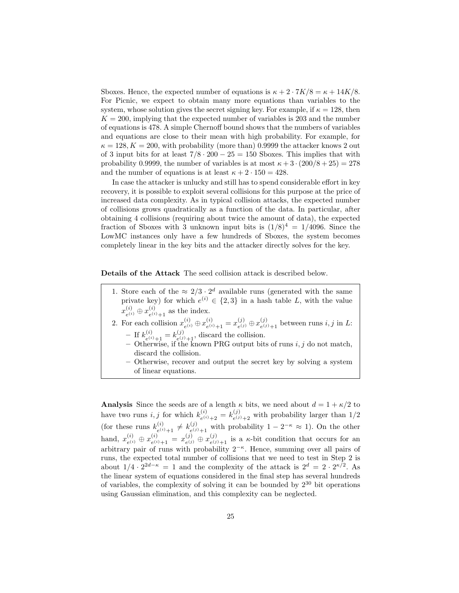Sboxes. Hence, the expected number of equations is  $\kappa + 2 \cdot 7K/8 = \kappa + 14K/8$ . For Picnic, we expect to obtain many more equations than variables to the system, whose solution gives the secret signing key. For example, if  $\kappa = 128$ , then  $K = 200$ , implying that the expected number of variables is 203 and the number of equations is 478. A simple Chernoff bound shows that the numbers of variables and equations are close to their mean with high probability. For example, for  $\kappa = 128, K = 200$ , with probability (more than) 0.9999 the attacker knows 2 out of 3 input bits for at least  $7/8 \cdot 200 - 25 = 150$  Sboxes. This implies that with probability 0.9999, the number of variables is at most  $\kappa + 3 \cdot (200/8 + 25) = 278$ and the number of equations is at least  $\kappa + 2 \cdot 150 = 428$ .

In case the attacker is unlucky and still has to spend considerable effort in key recovery, it is possible to exploit several collisions for this purpose at the price of increased data complexity. As in typical collision attacks, the expected number of collisions grows quadratically as a function of the data. In particular, after obtaining 4 collisions (requiring about twice the amount of data), the expected fraction of Sboxes with 3 unknown input bits is  $(1/8)^4 = 1/4096$ . Since the LowMC instances only have a few hundreds of Sboxes, the system becomes completely linear in the key bits and the attacker directly solves for the key.

Details of the Attack The seed collision attack is described below.

- 1. Store each of the  $\approx 2/3 \cdot 2^d$  available runs (generated with the same private key) for which  $e^{(i)} \in \{2,3\}$  in a hash table L, with the value  $x_{\sigma(i)}^{(i)}$  $\stackrel{(i)}{e^{(i)}} \oplus x_{e^{(i)}}^{(i)}$  $e^{(i)}_{e^{(i)}+1}$  as the index.
- 2. For each collision  $x_{\text{at}}^{(i)}$  $e^{(i)} \oplus x^{(i)}_{e^{(i)}}$  $e^{(i)}_{e^{(i)}+1} = x^{(j)}_{e^{(j)}}$  $e^{(j)}_{e^{(j)}} \oplus x^{(j)}_{e^{(j)}}$  $e^{(j)}_{e^{(j)}+1}$  between runs  $i, j$  in L:  $-$  If  $k_{\text{a}i}^{(i)}$  $e^{(i)}_{e^{(i)}+1} = k_{e^{(j)}}^{(j)}$ 
	- $e^{(j)}_{e^{(j)}+1}$ , discard the collision. – Otherwise, if the known PRG output bits of runs  $i, j$  do not match,
		- discard the collision.
	- Otherwise, recover and output the secret key by solving a system of linear equations.

**Analysis** Since the seeds are of a length  $\kappa$  bits, we need about  $d = 1 + \kappa/2$  to have two runs  $i, j$  for which  $k_{\text{off}}^{(i)}$  $e^{(i)}_{e^{(i)}+2} = k_{e^{(j)}}^{(j)}$  $e^{(j)}_{e^{(j)}+2}$  with probability larger than  $1/2$ (for these runs  $k_{\text{o}(i)}^{(i)}$  $e^{i}e^{i}+1} \neq k_{e}^{(j)}$  $e^{(j)}_{e^{(j)}+1}$  with probability  $1-2^{-\kappa} \approx 1$ ). On the other hand,  $x_{\text{a}(i)}^{(i)}$  $\stackrel{(i)}{e^{(i)}} \oplus x_{e^{(i)}}^{(i)}$  $e^{(i)}_{e^{(i)}+1} = x^{(j)}_{e^{(j)}}$  $e^{(j)}_{e^{(j)}} \oplus x^{(j)}_{e^{(j)}}$  $e^{(j)}_{e^{(j)}+1}$  is a  $\kappa$ -bit condition that occurs for an arbitrary pair of runs with probability  $2^{-\kappa}$ . Hence, summing over all pairs of runs, the expected total number of collisions that we need to test in Step 2 is about  $1/4 \cdot 2^{2d-\kappa} = 1$  and the complexity of the attack is  $2^d = 2 \cdot 2^{\kappa/2}$ . As the linear system of equations considered in the final step has several hundreds of variables, the complexity of solving it can be bounded by  $2^{30}$  bit operations using Gaussian elimination, and this complexity can be neglected.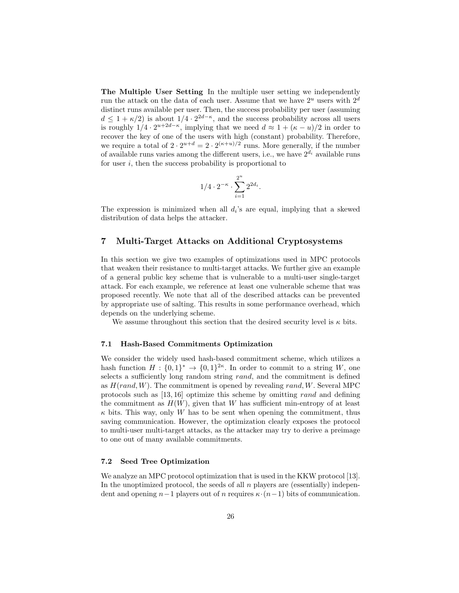The Multiple User Setting In the multiple user setting we independently run the attack on the data of each user. Assume that we have  $2^u$  users with  $2^d$ distinct runs available per user. Then, the success probability per user (assuming  $d \leq 1 + \kappa/2$  is about  $1/4 \cdot 2^{2d-\kappa}$ , and the success probability across all users is roughly  $1/4 \cdot 2^{u+2d-\kappa}$ , implying that we need  $d \approx 1 + (\kappa - u)/2$  in order to recover the key of one of the users with high (constant) probability. Therefore, we require a total of  $2 \cdot 2^{u+d} = 2 \cdot 2^{(\kappa+u)/2}$  runs. More generally, if the number of available runs varies among the different users, i.e., we have  $2^{d_i}$  available runs for user  $i$ , then the success probability is proportional to

$$
1/4 \cdot 2^{-\kappa} \cdot \sum_{i=1}^{2^u} 2^{2d_i}.
$$

The expression is minimized when all  $d_i$ 's are equal, implying that a skewed distribution of data helps the attacker.

## 7 Multi-Target Attacks on Additional Cryptosystems

In this section we give two examples of optimizations used in MPC protocols that weaken their resistance to multi-target attacks. We further give an example of a general public key scheme that is vulnerable to a multi-user single-target attack. For each example, we reference at least one vulnerable scheme that was proposed recently. We note that all of the described attacks can be prevented by appropriate use of salting. This results in some performance overhead, which depends on the underlying scheme.

We assume throughout this section that the desired security level is  $\kappa$  bits.

#### 7.1 Hash-Based Commitments Optimization

We consider the widely used hash-based commitment scheme, which utilizes a hash function  $H: \{0,1\}^* \to \{0,1\}^{2\kappa}$ . In order to commit to a string W, one selects a sufficiently long random string rand, and the commitment is defined as  $H(rand, W)$ . The commitment is opened by revealing rand, W. Several MPC protocols such as [13, 16] optimize this scheme by omitting rand and defining the commitment as  $H(W)$ , given that W has sufficient min-entropy of at least  $\kappa$  bits. This way, only W has to be sent when opening the commitment, thus saving communication. However, the optimization clearly exposes the protocol to multi-user multi-target attacks, as the attacker may try to derive a preimage to one out of many available commitments.

## 7.2 Seed Tree Optimization

We analyze an MPC protocol optimization that is used in the KKW protocol [13]. In the unoptimized protocol, the seeds of all  $n$  players are (essentially) independent and opening  $n-1$  players out of n requires  $\kappa \cdot (n-1)$  bits of communication.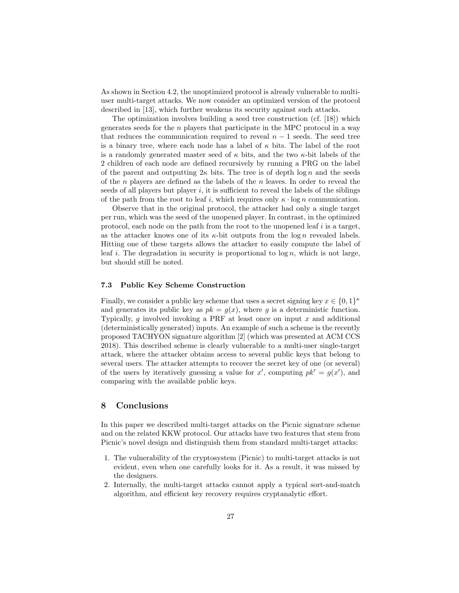As shown in Section 4.2, the unoptimized protocol is already vulnerable to multiuser multi-target attacks. We now consider an optimized version of the protocol described in [13], which further weakens its security against such attacks.

The optimization involves building a seed tree construction (cf. [18]) which generates seeds for the  $n$  players that participate in the MPC protocol in a way that reduces the communication required to reveal  $n - 1$  seeds. The seed tree is a binary tree, where each node has a label of  $\kappa$  bits. The label of the root is a randomly generated master seed of  $\kappa$  bits, and the two  $\kappa$ -bit labels of the 2 children of each node are defined recursively by running a PRG on the label of the parent and outputting  $2\kappa$  bits. The tree is of depth log n and the seeds of the n players are defined as the labels of the  $n$  leaves. In order to reveal the seeds of all players but player  $i$ , it is sufficient to reveal the labels of the siblings of the path from the root to leaf i, which requires only  $\kappa \cdot \log n$  communication.

Observe that in the original protocol, the attacker had only a single target per run, which was the seed of the unopened player. In contrast, in the optimized protocol, each node on the path from the root to the unopened leaf  $i$  is a target, as the attacker knows one of its  $\kappa$ -bit outputs from the log n revealed labels. Hitting one of these targets allows the attacker to easily compute the label of leaf i. The degradation in security is proportional to  $\log n$ , which is not large, but should still be noted.

#### 7.3 Public Key Scheme Construction

Finally, we consider a public key scheme that uses a secret signing key  $x \in \{0,1\}^{\kappa}$ and generates its public key as  $pk = q(x)$ , where q is a deterministic function. Typically,  $g$  involved invoking a PRF at least once on input  $x$  and additional (deterministically generated) inputs. An example of such a scheme is the recently proposed TACHYON signature algorithm [2] (which was presented at ACM CCS 2018). This described scheme is clearly vulnerable to a multi-user single-target attack, where the attacker obtains access to several public keys that belong to several users. The attacker attempts to recover the secret key of one (or several) of the users by iteratively guessing a value for x', computing  $pk' = g(x')$ , and comparing with the available public keys.

## 8 Conclusions

In this paper we described multi-target attacks on the Picnic signature scheme and on the related KKW protocol. Our attacks have two features that stem from Picnic's novel design and distinguish them from standard multi-target attacks:

- 1. The vulnerability of the cryptosystem (Picnic) to multi-target attacks is not evident, even when one carefully looks for it. As a result, it was missed by the designers.
- 2. Internally, the multi-target attacks cannot apply a typical sort-and-match algorithm, and efficient key recovery requires cryptanalytic effort.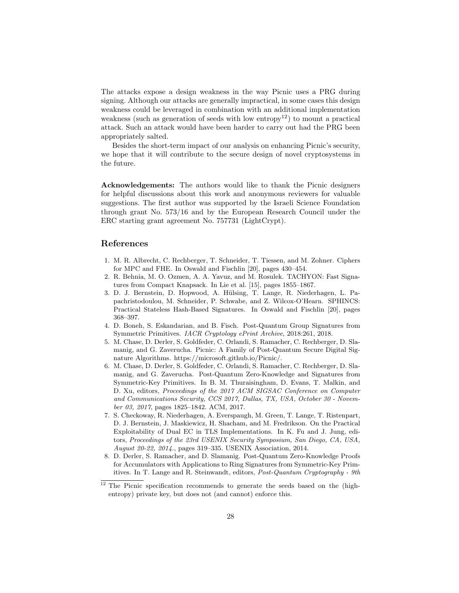The attacks expose a design weakness in the way Picnic uses a PRG during signing. Although our attacks are generally impractical, in some cases this design weakness could be leveraged in combination with an additional implementation weakness (such as generation of seeds with low entropy<sup>12</sup>) to mount a practical attack. Such an attack would have been harder to carry out had the PRG been appropriately salted.

Besides the short-term impact of our analysis on enhancing Picnic's security, we hope that it will contribute to the secure design of novel cryptosystems in the future.

Acknowledgements: The authors would like to thank the Picnic designers for helpful discussions about this work and anonymous reviewers for valuable suggestions. The first author was supported by the Israeli Science Foundation through grant No. 573/16 and by the European Research Council under the ERC starting grant agreement No. 757731 (LightCrypt).

## References

- 1. M. R. Albrecht, C. Rechberger, T. Schneider, T. Tiessen, and M. Zohner. Ciphers for MPC and FHE. In Oswald and Fischlin [20], pages 430–454.
- 2. R. Behnia, M. O. Ozmen, A. A. Yavuz, and M. Rosulek. TACHYON: Fast Signatures from Compact Knapsack. In Lie et al. [15], pages 1855–1867.
- 3. D. J. Bernstein, D. Hopwood, A. Hülsing, T. Lange, R. Niederhagen, L. Papachristodoulou, M. Schneider, P. Schwabe, and Z. Wilcox-O'Hearn. SPHINCS: Practical Stateless Hash-Based Signatures. In Oswald and Fischlin [20], pages 368–397.
- 4. D. Boneh, S. Eskandarian, and B. Fisch. Post-Quantum Group Signatures from Symmetric Primitives. IACR Cryptology ePrint Archive, 2018:261, 2018.
- 5. M. Chase, D. Derler, S. Goldfeder, C. Orlandi, S. Ramacher, C. Rechberger, D. Slamanig, and G. Zaverucha. Picnic: A Family of Post-Quantum Secure Digital Signature Algorithms. https://microsoft.github.io/Picnic/.
- 6. M. Chase, D. Derler, S. Goldfeder, C. Orlandi, S. Ramacher, C. Rechberger, D. Slamanig, and G. Zaverucha. Post-Quantum Zero-Knowledge and Signatures from Symmetric-Key Primitives. In B. M. Thuraisingham, D. Evans, T. Malkin, and D. Xu, editors, Proceedings of the 2017 ACM SIGSAC Conference on Computer and Communications Security, CCS 2017, Dallas, TX, USA, October 30 - November 03, 2017, pages 1825–1842. ACM, 2017.
- 7. S. Checkoway, R. Niederhagen, A. Everspaugh, M. Green, T. Lange, T. Ristenpart, D. J. Bernstein, J. Maskiewicz, H. Shacham, and M. Fredrikson. On the Practical Exploitability of Dual EC in TLS Implementations. In K. Fu and J. Jung, editors, Proceedings of the 23rd USENIX Security Symposium, San Diego, CA, USA, August 20-22, 2014., pages 319–335. USENIX Association, 2014.
- 8. D. Derler, S. Ramacher, and D. Slamanig. Post-Quantum Zero-Knowledge Proofs for Accumulators with Applications to Ring Signatures from Symmetric-Key Primitives. In T. Lange and R. Steinwandt, editors, Post-Quantum Cryptography - 9th

<sup>&</sup>lt;sup>12</sup> The Picnic specification recommends to generate the seeds based on the (highentropy) private key, but does not (and cannot) enforce this.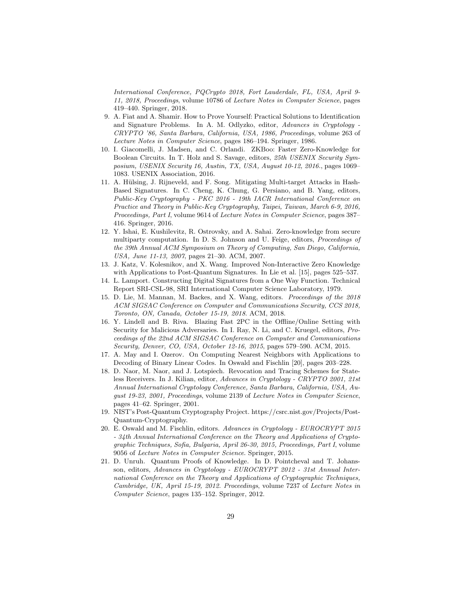International Conference, PQCrypto 2018, Fort Lauderdale, FL, USA, April 9- 11, 2018, Proceedings, volume 10786 of Lecture Notes in Computer Science, pages 419–440. Springer, 2018.

- 9. A. Fiat and A. Shamir. How to Prove Yourself: Practical Solutions to Identification and Signature Problems. In A. M. Odlyzko, editor, Advances in Cryptology - CRYPTO '86, Santa Barbara, California, USA, 1986, Proceedings, volume 263 of Lecture Notes in Computer Science, pages 186–194. Springer, 1986.
- 10. I. Giacomelli, J. Madsen, and C. Orlandi. ZKBoo: Faster Zero-Knowledge for Boolean Circuits. In T. Holz and S. Savage, editors, 25th USENIX Security Symposium, USENIX Security 16, Austin, TX, USA, August 10-12, 2016., pages 1069– 1083. USENIX Association, 2016.
- 11. A. Hülsing, J. Rijneveld, and F. Song. Mitigating Multi-target Attacks in Hash-Based Signatures. In C. Cheng, K. Chung, G. Persiano, and B. Yang, editors, Public-Key Cryptography - PKC 2016 - 19th IACR International Conference on Practice and Theory in Public-Key Cryptography, Taipei, Taiwan, March 6-9, 2016, Proceedings, Part I, volume 9614 of Lecture Notes in Computer Science, pages 387– 416. Springer, 2016.
- 12. Y. Ishai, E. Kushilevitz, R. Ostrovsky, and A. Sahai. Zero-knowledge from secure multiparty computation. In D. S. Johnson and U. Feige, editors, Proceedings of the 39th Annual ACM Symposium on Theory of Computing, San Diego, California, USA, June 11-13, 2007, pages 21–30. ACM, 2007.
- 13. J. Katz, V. Kolesnikov, and X. Wang. Improved Non-Interactive Zero Knowledge with Applications to Post-Quantum Signatures. In Lie et al. [15], pages 525–537.
- 14. L. Lamport. Constructing Digital Signatures from a One Way Function. Technical Report SRI-CSL-98, SRI International Computer Science Laboratory, 1979.
- 15. D. Lie, M. Mannan, M. Backes, and X. Wang, editors. Proceedings of the 2018 ACM SIGSAC Conference on Computer and Communications Security, CCS 2018, Toronto, ON, Canada, October 15-19, 2018. ACM, 2018.
- 16. Y. Lindell and B. Riva. Blazing Fast 2PC in the Offline/Online Setting with Security for Malicious Adversaries. In I. Ray, N. Li, and C. Kruegel, editors, Proceedings of the 22nd ACM SIGSAC Conference on Computer and Communications Security, Denver, CO, USA, October 12-16, 2015, pages 579–590. ACM, 2015.
- 17. A. May and I. Ozerov. On Computing Nearest Neighbors with Applications to Decoding of Binary Linear Codes. In Oswald and Fischlin [20], pages 203–228.
- 18. D. Naor, M. Naor, and J. Lotspiech. Revocation and Tracing Schemes for Stateless Receivers. In J. Kilian, editor, Advances in Cryptology - CRYPTO 2001, 21st Annual International Cryptology Conference, Santa Barbara, California, USA, August 19-23, 2001, Proceedings, volume 2139 of Lecture Notes in Computer Science, pages 41–62. Springer, 2001.
- 19. NIST's Post-Quantum Cryptography Project. https://csrc.nist.gov/Projects/Post-Quantum-Cryptography.
- 20. E. Oswald and M. Fischlin, editors. Advances in Cryptology EUROCRYPT 2015 - 34th Annual International Conference on the Theory and Applications of Cryptographic Techniques, Sofia, Bulgaria, April 26-30, 2015, Proceedings, Part I, volume 9056 of Lecture Notes in Computer Science. Springer, 2015.
- 21. D. Unruh. Quantum Proofs of Knowledge. In D. Pointcheval and T. Johansson, editors, Advances in Cryptology - EUROCRYPT 2012 - 31st Annual International Conference on the Theory and Applications of Cryptographic Techniques, Cambridge, UK, April 15-19, 2012. Proceedings, volume 7237 of Lecture Notes in Computer Science, pages 135–152. Springer, 2012.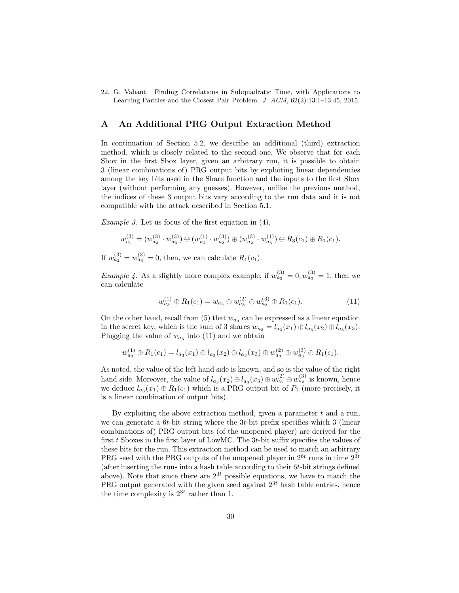22. G. Valiant. Finding Correlations in Subquadratic Time, with Applications to Learning Parities and the Closest Pair Problem. J. ACM, 62(2):13:1–13:45, 2015.

## A An Additional PRG Output Extraction Method

In continuation of Section 5.2, we describe an additional (third) extraction method, which is closely related to the second one. We observe that for each Sbox in the first Sbox layer, given an arbitrary run, it is possible to obtain 3 (linear combinations of) PRG output bits by exploiting linear dependencies among the key bits used in the Share function and the inputs to the first Sbox layer (without performing any guesses). However, unlike the previous method, the indices of these 3 output bits vary according to the run data and it is not compatible with the attack described in Section 5.1.

*Example 3.* Let us focus of the first equation in  $(4)$ ,

$$
w_{c_1}^{(3)} = (w_{a_2}^{(3)} \cdot w_{a_3}^{(3)}) \oplus (w_{a_2}^{(1)} \cdot w_{a_3}^{(3)}) \oplus (w_{a_2}^{(3)} \cdot w_{a_3}^{(1)}) \oplus R_3(c_1) \oplus R_1(c_1).
$$

If  $w_{a_2}^{(3)} = w_{a_3}^{(3)} = 0$ , then, we can calculate  $R_1(c_1)$ .

*Example 4.* As a slightly more complex example, if  $w_{a_2}^{(3)} = 0, w_{a_3}^{(3)} = 1$ , then we can calculate

$$
w_{a_3}^{(1)} \oplus R_1(c_1) = w_{a_3} \oplus w_{a_3}^{(2)} \oplus w_{a_3}^{(3)} \oplus R_1(c_1).
$$
 (11)

On the other hand, recall from  $(5)$  that  $w_{a_3}$  can be expressed as a linear equation in the secret key, which is the sum of 3 shares  $w_{a_3} = l_{a_3}(x_1) \oplus l_{a_3}(x_2) \oplus l_{a_3}(x_3)$ . Plugging the value of  $w_{a_3}$  into (11) and we obtain

$$
w_{a_3}^{(1)} \oplus R_1(c_1) = l_{a_3}(x_1) \oplus l_{a_3}(x_2) \oplus l_{a_3}(x_3) \oplus w_{a_3}^{(2)} \oplus w_{a_3}^{(3)} \oplus R_1(c_1).
$$

As noted, the value of the left hand side is known, and so is the value of the right hand side. Moreover, the value of  $l_{a_3}(x_2) \oplus l_{a_3}(x_3) \oplus w_{a_3}^{(2)} \oplus w_{a_3}^{(3)}$  is known, hence we deduce  $l_{a_3}(x_1) \oplus R_1(c_1)$  which is a PRG output bit of  $P_1$  (more precisely, it is a linear combination of output bits).

By exploiting the above extraction method, given a parameter  $t$  and a run, we can generate a  $6t$ -bit string where the  $3t$ -bit prefix specifies which  $3$  (linear combinations of) PRG output bits (of the unopened player) are derived for the first t Sboxes in the first layer of LowMC. The 3t-bit suffix specifies the values of these bits for the run. This extraction method can be used to match an arbitrary PRG seed with the PRG outputs of the unopened player in  $2^{6t}$  runs in time  $2^{3t}$ (after inserting the runs into a hash table according to their 6t-bit strings defined above). Note that since there are  $2^{3t}$  possible equations, we have to match the PRG output generated with the given seed against  $2^{3t}$  hash table entries, hence the time complexity is  $2^{3t}$  rather than 1.